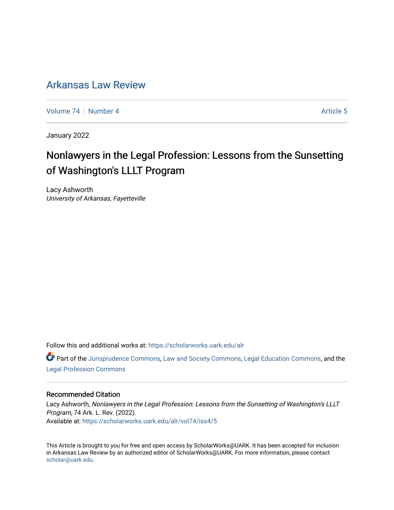# [Arkansas Law Review](https://scholarworks.uark.edu/alr)

[Volume 74](https://scholarworks.uark.edu/alr/vol74) | [Number 4](https://scholarworks.uark.edu/alr/vol74/iss4) Article 5

January 2022

# Nonlawyers in the Legal Profession: Lessons from the Sunsetting of Washington's LLLT Program

Lacy Ashworth University of Arkansas, Fayetteville

Follow this and additional works at: [https://scholarworks.uark.edu/alr](https://scholarworks.uark.edu/alr?utm_source=scholarworks.uark.edu%2Falr%2Fvol74%2Fiss4%2F5&utm_medium=PDF&utm_campaign=PDFCoverPages) 

Part of the [Jurisprudence Commons](http://network.bepress.com/hgg/discipline/610?utm_source=scholarworks.uark.edu%2Falr%2Fvol74%2Fiss4%2F5&utm_medium=PDF&utm_campaign=PDFCoverPages), [Law and Society Commons,](http://network.bepress.com/hgg/discipline/853?utm_source=scholarworks.uark.edu%2Falr%2Fvol74%2Fiss4%2F5&utm_medium=PDF&utm_campaign=PDFCoverPages) [Legal Education Commons,](http://network.bepress.com/hgg/discipline/857?utm_source=scholarworks.uark.edu%2Falr%2Fvol74%2Fiss4%2F5&utm_medium=PDF&utm_campaign=PDFCoverPages) and the [Legal Profession Commons](http://network.bepress.com/hgg/discipline/1075?utm_source=scholarworks.uark.edu%2Falr%2Fvol74%2Fiss4%2F5&utm_medium=PDF&utm_campaign=PDFCoverPages)

# Recommended Citation

Lacy Ashworth, Nonlawyers in the Legal Profession: Lessons from the Sunsetting of Washington's LLLT Program, 74 Ark. L. Rev. (2022). Available at: [https://scholarworks.uark.edu/alr/vol74/iss4/5](https://scholarworks.uark.edu/alr/vol74/iss4/5?utm_source=scholarworks.uark.edu%2Falr%2Fvol74%2Fiss4%2F5&utm_medium=PDF&utm_campaign=PDFCoverPages)

This Article is brought to you for free and open access by ScholarWorks@UARK. It has been accepted for inclusion in Arkansas Law Review by an authorized editor of ScholarWorks@UARK. For more information, please contact [scholar@uark.edu](mailto:scholar@uark.edu).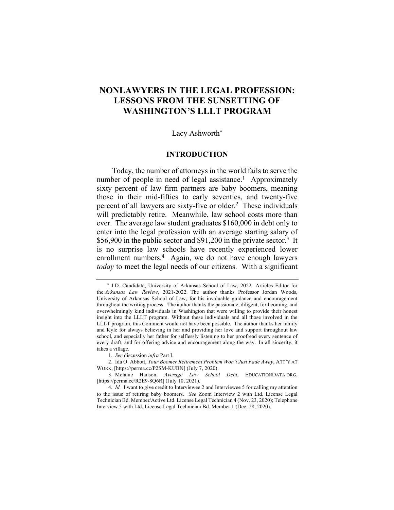# **NONLAWYERS IN THE LEGAL PROFESSION: LESSONS FROM THE SUNSETTING OF WASHINGTON'S LLLT PROGRAM**

# Lacy Ashworth\*

#### **INTRODUCTION**

Today, the number of attorneys in the world fails to serve the number of people in need of legal assistance.<sup>1</sup> Approximately sixty percent of law firm partners are baby boomers, meaning those in their mid-fifties to early seventies, and twenty-five percent of all lawyers are sixty-five or older.2 These individuals will predictably retire. Meanwhile, law school costs more than ever. The average law student graduates \$160,000 in debt only to enter into the legal profession with an average starting salary of \$56,900 in the public sector and \$91,200 in the private sector.<sup>3</sup> It is no surprise law schools have recently experienced lower enrollment numbers.<sup>4</sup> Again, we do not have enough lawyers *today* to meet the legal needs of our citizens. With a significant

\* J.D. Candidate, University of Arkansas School of Law, 2022. Articles Editor for the *Arkansas Law Review*, 2021-2022. The author thanks Professor Jordan Woods, University of Arkansas School of Law, for his invaluable guidance and encouragement throughout the writing process. The author thanks the passionate, diligent, forthcoming, and overwhelmingly kind individuals in Washington that were willing to provide their honest insight into the LLLT program. Without these individuals and all those involved in the LLLT program, this Comment would not have been possible. The author thanks her family and Kyle for always believing in her and providing her love and support throughout law school, and especially her father for selflessly listening to her proofread every sentence of every draft, and for offering advice and encouragement along the way. In all sincerity, it takes a village.

<sup>1</sup>*. See* discussion *infra* Part I.

<sup>2.</sup> Ida O. Abbott, *Your Boomer Retirement Problem Won't Just Fade Away*, ATT'Y AT WORK, [https://perma.cc/P2SM-KUBN] (July 7, 2020).

<sup>3.</sup> Melanie Hanson, *Average Law School Debt*, EDUCATIONDATA.ORG, [https://perma.cc/R2E9-8Q6R] (July 10, 2021).

<sup>4</sup>*. Id.* I want to give credit to Interviewee 2 and Interviewee 5 for calling my attention to the issue of retiring baby boomers. *See* Zoom Interview 2 with Ltd. License Legal Technician Bd. Member/Active Ltd. License Legal Technician 4 (Nov. 23, 2020); Telephone Interview 5 with Ltd. License Legal Technician Bd. Member 1 (Dec. 28, 2020).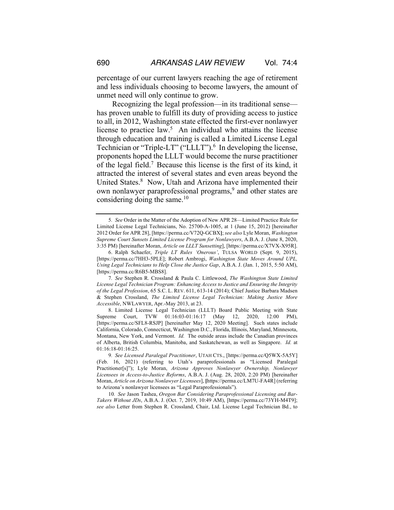percentage of our current lawyers reaching the age of retirement and less individuals choosing to become lawyers, the amount of unmet need will only continue to grow.

Recognizing the legal profession—in its traditional sense has proven unable to fulfill its duty of providing access to justice to all, in 2012, Washington state effected the first-ever nonlawyer license to practice law.<sup>5</sup> An individual who attains the license through education and training is called a Limited License Legal Technician or "Triple-LT" ("LLLT").<sup>6</sup> In developing the license, proponents hoped the LLLT would become the nurse practitioner of the legal field.7 Because this license is the first of its kind, it attracted the interest of several states and even areas beyond the United States.8 Now, Utah and Arizona have implemented their own nonlawyer paraprofessional programs,<sup>9</sup> and other states are considering doing the same. $10$ 

7*. See* Stephen R. Crossland & Paula C. Littlewood, *The Washington State Limited License Legal Technician Program: Enhancing Access to Justice and Ensuring the Integrity of the Legal Profession*, 65 S.C. L. REV. 611, 613-14 (2014); Chief Justice Barbara Madsen & Stephen Crossland, *The Limited License Legal Technician: Making Justice More Accessible*, NWLAWYER, Apr.-May 2013, at 23.

8. Limited License Legal Technician (LLLT) Board Public Meeting with State Supreme Court, TVW 01:16:03-01:16:17 (May 12, 2020, 12:00 PM), [https://perma.cc/SFL8-RSJP] [hereinafter May 12, 2020 Meeting]. Such states include California, Colorado, Connecticut, Washington D.C., Florida, Illinois, Maryland, Minnesota, Montana, New York, and Vermont. *Id.* The outside areas include the Canadian provinces of Alberta, British Columbia, Manitoba, and Saskatchewan, as well as Singapore. *Id.* at 01:16:18-01:16:25.

10*. See* Jason Tashea, *Oregon Bar Considering Paraprofessional Licensing and Bar-Takers Without JDs*, A.B.A. J. (Oct. 7, 2019, 10:49 AM), [https://perma.cc/73YH-M4T9]; *see also* Letter from Stephen R. Crossland, Chair, Ltd. License Legal Technician Bd., to

<sup>5</sup>*. See* Order in the Matter of the Adoption of New APR 28—Limited Practice Rule for Limited License Legal Technicians, No. 25700-A-1005, at 1 (June 15, 2012) [hereinafter 2012 Order for APR 28], [https://perma.cc/V72Q-GCBX**]**; *see also* Lyle Moran, *Washington Supreme Court Sunsets Limited License Program for Nonlawyers*, A.B.A. J. (June 8, 2020, 3:35 PM) [hereinafter Moran, *Article on LLLT Sunsetting*], [https://perma.cc/X7VX-X95R].

<sup>6.</sup> Ralph Schaefer, *Triple LT Rules 'Onerous'*, TULSA WORLD (Sept. 9, 2015), [https://perma.cc/7HH3-5PLE]; Robert Ambrogi, *Washington State Moves Around UPL, Using Legal Technicians to Help Close the Justice Gap*, A.B.A. J. (Jan. 1, 2015, 5:50 AM), [https://perma.cc/R6B5-MBS8].

<sup>9</sup>*. See Licensed Paralegal Practitioner*, UTAH CTS., [https://perma.cc/Q5WX-5A5Y] (Feb. 16, 2021) (referring to Utah's paraprofessionals as "Licensed Paralegal Practitioner[s]"); Lyle Moran, *Arizona Approves Nonlawyer Ownership, Nonlawyer Licensees in Access-to-Justice Reforms*, A.B.A. J. (Aug. 28, 2020, 2:20 PM) [hereinafter Moran, *Article on Arizona Nonlawyer Licensees*], **[**https://perma.cc/LM7U-FA4R] (referring to Arizona's nonlawyer licensees as "Legal Paraprofessionals").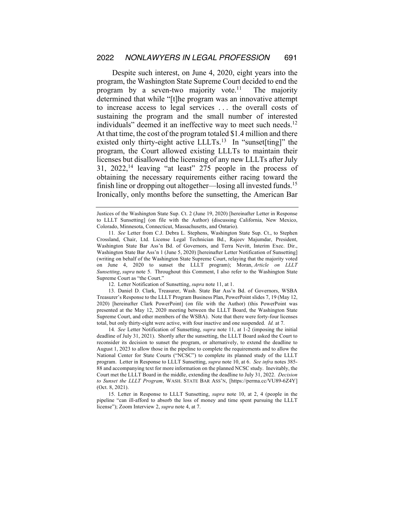Despite such interest, on June 4, 2020, eight years into the program, the Washington State Supreme Court decided to end the program by a seven-two majority vote.<sup>11</sup> The majority determined that while "[t]he program was an innovative attempt to increase access to legal services . . . the overall costs of sustaining the program and the small number of interested individuals" deemed it an ineffective way to meet such needs.<sup>12</sup> At that time, the cost of the program totaled \$1.4 million and there existed only thirty-eight active LLLTs.<sup>13</sup> In "sunset[ting]" the program, the Court allowed existing LLLTs to maintain their licenses but disallowed the licensing of any new LLLTs after July 31, 2022,14 leaving "at least" 275 people in the process of obtaining the necessary requirements either racing toward the finish line or dropping out altogether—losing all invested funds.15 Ironically, only months before the sunsetting, the American Bar

13. Daniel D. Clark, Treasurer, Wash. State Bar Ass'n Bd. of Governors, WSBA Treasurer's Response to the LLLT Program Business Plan, PowerPoint slides 7, 19 (May 12, 2020) [hereinafter Clark PowerPoint] (on file with the Author) (this PowerPoint was presented at the May 12, 2020 meeting between the LLLT Board, the Washington State Supreme Court, and other members of the WSBA). Note that there were forty-four licenses total, but only thirty-eight were active, with four inactive and one suspended. *Id.* at 7.

14*. See* Letter Notification of Sunsetting, *supra* note 11, at 1-2 (imposing the initial deadline of July 31, 2021). Shortly after the sunsetting, the LLLT Board asked the Court to reconsider its decision to sunset the program, or alternatively, to extend the deadline to August 1, 2023 to allow those in the pipeline to complete the requirements and to allow the National Center for State Courts ("NCSC") to complete its planned study of the LLLT program. Letter in Response to LLLT Sunsetting, *supra* note 10, at 6. *See infra* notes 385- 88 and accompanying text for more information on the planned NCSC study. Inevitably, the Court met the LLLT Board in the middle, extending the deadline to July 31, 2022. *Decision to Sunset the LLLT Program*, WASH. STATE BAR ASS'N, [https://perma.cc/VU89-6Z4Y] (Oct. 8, 2021).

Justices of the Washington State Sup. Ct. 2 (June 19, 2020) [hereinafter Letter in Response to LLLT Sunsetting] (on file with the Author) (discussing California, New Mexico, Colorado, Minnesota, Connecticut, Massachusetts, and Ontario).

<sup>11</sup>*. See* Letter from C.J. Debra L. Stephens, Washington State Sup. Ct., to Stephen Crossland, Chair, Ltd. License Legal Technician Bd., Rajeev Majumdar, President, Washington State Bar Ass'n Bd. of Governors, and Terra Nevitt, Interim Exec. Dir., Washington State Bar Ass'n 1 (June 5, 2020) [hereinafter Letter Notification of Sunsetting] (writing on behalf of the Washington State Supreme Court, relaying that the majority voted on June 4, 2020 to sunset the LLLT program); Moran, *Article on LLLT Sunsetting*, *supra* note 5. Throughout this Comment, I also refer to the Washington State Supreme Court as "the Court."

<sup>12.</sup> Letter Notification of Sunsetting, *supra* note 11, at 1.

<sup>15.</sup> Letter in Response to LLLT Sunsetting, *supra* note 10, at 2, 4 (people in the pipeline "can ill-afford to absorb the loss of money and time spent pursuing the LLLT license"); Zoom Interview 2, *supra* note 4, at 7.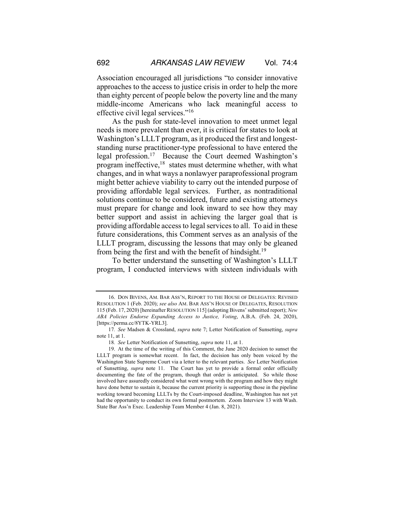Association encouraged all jurisdictions "to consider innovative approaches to the access to justice crisis in order to help the more than eighty percent of people below the poverty line and the many middle-income Americans who lack meaningful access to effective civil legal services."16

As the push for state-level innovation to meet unmet legal needs is more prevalent than ever, it is critical for states to look at Washington's LLLT program, as it produced the first and longeststanding nurse practitioner-type professional to have entered the legal profession.17 Because the Court deemed Washington's program ineffective,<sup>18</sup> states must determine whether, with what changes, and in what ways a nonlawyer paraprofessional program might better achieve viability to carry out the intended purpose of providing affordable legal services. Further, as nontraditional solutions continue to be considered, future and existing attorneys must prepare for change and look inward to see how they may better support and assist in achieving the larger goal that is providing affordable access to legal services to all. To aid in these future considerations, this Comment serves as an analysis of the LLLT program, discussing the lessons that may only be gleaned from being the first and with the benefit of hindsight.19

To better understand the sunsetting of Washington's LLLT program, I conducted interviews with sixteen individuals with

<sup>16.</sup> DON BIVENS, AM. BAR ASS'N, REPORT TO THE HOUSE OF DELEGATES: REVISED RESOLUTION 1 (Feb. 2020); *see also* AM. BAR ASS'N HOUSE OF DELEGATES, RESOLUTION 115 (Feb. 17, 2020) [hereinafter RESOLUTION 115] (adopting Bivens' submitted report); *New ABA Policies Endorse Expanding Access to Justice, Voting*, A.B.A. (Feb. 24, 2020), [https://perma.cc/8YTK-YRL3].

<sup>17</sup>*. See* Madsen & Crossland, *supra* note 7; Letter Notification of Sunsetting, *supra* note 11, at 1.

<sup>18</sup>*. See* Letter Notification of Sunsetting, *supra* note 11, at 1.

<sup>19.</sup> At the time of the writing of this Comment, the June 2020 decision to sunset the LLLT program is somewhat recent. In fact, the decision has only been voiced by the Washington State Supreme Court via a letter to the relevant parties. *See* Letter Notification of Sunsetting, *supra* note 11. The Court has yet to provide a formal order officially documenting the fate of the program, though that order is anticipated. So while those involved have assuredly considered what went wrong with the program and how they might have done better to sustain it, because the current priority is supporting those in the pipeline working toward becoming LLLTs by the Court-imposed deadline, Washington has not yet had the opportunity to conduct its own formal postmortem. Zoom Interview 13 with Wash. State Bar Ass'n Exec. Leadership Team Member 4 (Jan. 8, 2021).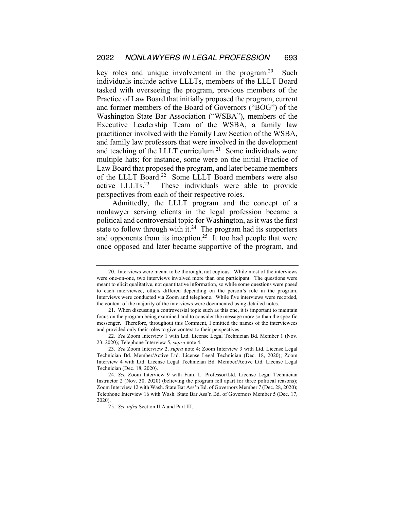key roles and unique involvement in the program.<sup>20</sup> Such individuals include active LLLTs, members of the LLLT Board tasked with overseeing the program, previous members of the Practice of Law Board that initially proposed the program, current and former members of the Board of Governors ("BOG") of the Washington State Bar Association ("WSBA"), members of the Executive Leadership Team of the WSBA, a family law practitioner involved with the Family Law Section of the WSBA, and family law professors that were involved in the development and teaching of the LLLT curriculum.<sup>21</sup> Some individuals wore multiple hats; for instance, some were on the initial Practice of Law Board that proposed the program, and later became members of the LLLT Board.<sup>22</sup> Some LLLT Board members were also active LLLTs.23 These individuals were able to provide perspectives from each of their respective roles.

Admittedly, the LLLT program and the concept of a nonlawyer serving clients in the legal profession became a political and controversial topic for Washington, as it was the first state to follow through with it.<sup>24</sup> The program had its supporters and opponents from its inception.<sup>25</sup> It too had people that were once opposed and later became supportive of the program, and

<sup>20.</sup> Interviews were meant to be thorough, not copious. While most of the interviews were one-on-one, two interviews involved more than one participant. The questions were meant to elicit qualitative, not quantitative information, so while some questions were posed to each interviewee, others differed depending on the person's role in the program. Interviews were conducted via Zoom and telephone. While five interviews were recorded, the content of the majority of the interviews were documented using detailed notes.

<sup>21.</sup> When discussing a controversial topic such as this one, it is important to maintain focus on the program being examined and to consider the message more so than the specific messenger. Therefore, throughout this Comment, I omitted the names of the interviewees and provided only their roles to give context to their perspectives.

<sup>22</sup>*. See* Zoom Interview 1 with Ltd. License Legal Technician Bd. Member 1 (Nov. 23, 2020); Telephone Interview 5, *supra* note 4.

<sup>23</sup>*. See* Zoom Interview 2, *supra* note 4; Zoom Interview 3 with Ltd. License Legal Technician Bd. Member/Active Ltd. License Legal Technician (Dec. 18, 2020); Zoom Interview 4 with Ltd. License Legal Technician Bd. Member/Active Ltd. License Legal Technician (Dec. 18, 2020).

<sup>24</sup>*. See* Zoom Interview 9 with Fam. L. Professor/Ltd. License Legal Technician Instructor 2 (Nov. 30, 2020) (believing the program fell apart for three political reasons); Zoom Interview 12 with Wash. State Bar Ass'n Bd. of Governors Member 7 (Dec. 28, 2020); Telephone Interview 16 with Wash. State Bar Ass'n Bd. of Governors Member 5 (Dec. 17, 2020).

<sup>25</sup>*. See infra* Section II.A and Part III.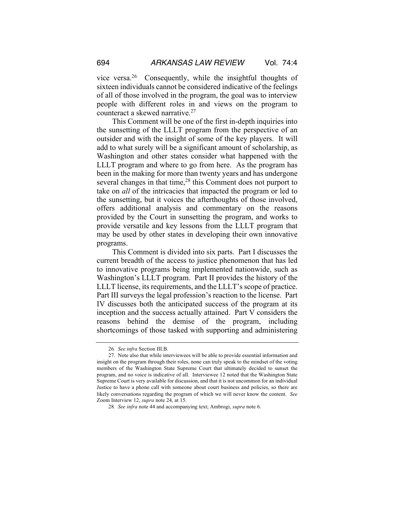vice versa.26 Consequently, while the insightful thoughts of sixteen individuals cannot be considered indicative of the feelings of all of those involved in the program, the goal was to interview people with different roles in and views on the program to counteract a skewed narrative.27

This Comment will be one of the first in-depth inquiries into the sunsetting of the LLLT program from the perspective of an outsider and with the insight of some of the key players. It will add to what surely will be a significant amount of scholarship, as Washington and other states consider what happened with the LLLT program and where to go from here. As the program has been in the making for more than twenty years and has undergone several changes in that time,<sup>28</sup> this Comment does not purport to take on *all* of the intricacies that impacted the program or led to the sunsetting, but it voices the afterthoughts of those involved, offers additional analysis and commentary on the reasons provided by the Court in sunsetting the program, and works to provide versatile and key lessons from the LLLT program that may be used by other states in developing their own innovative programs.

This Comment is divided into six parts. Part I discusses the current breadth of the access to justice phenomenon that has led to innovative programs being implemented nationwide, such as Washington's LLLT program. Part II provides the history of the LLLT license, its requirements, and the LLLT's scope of practice. Part III surveys the legal profession's reaction to the license. Part IV discusses both the anticipated success of the program at its inception and the success actually attained. Part V considers the reasons behind the demise of the program, including shortcomings of those tasked with supporting and administering

<sup>26</sup>*. See infra* Section III.B.

<sup>27.</sup> Note also that while interviewees will be able to provide essential information and insight on the program through their roles, none can truly speak to the mindset of the voting members of the Washington State Supreme Court that ultimately decided to sunset the program, and no voice is indicative of all. Interviewee 12 noted that the Washington State Supreme Court is very available for discussion, and that it is not uncommon for an individual Justice to have a phone call with someone about court business and policies, so there are likely conversations regarding the program of which we will never know the content. *See* Zoom Interview 12, *supra* note 24, at 15.

<sup>28</sup>*. See infra* note 44 and accompanying text; Ambrogi, *supra* note 6.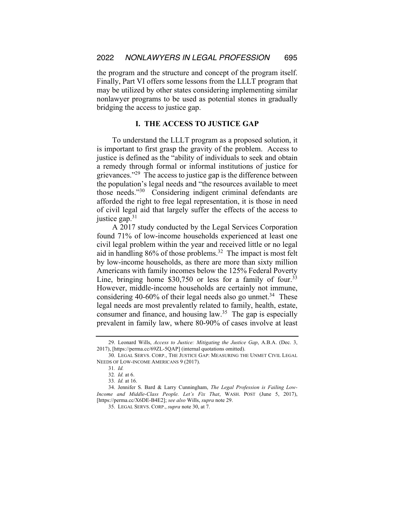the program and the structure and concept of the program itself. Finally, Part VI offers some lessons from the LLLT program that may be utilized by other states considering implementing similar nonlawyer programs to be used as potential stones in gradually bridging the access to justice gap.

# **I. THE ACCESS TO JUSTICE GAP**

To understand the LLLT program as a proposed solution, it is important to first grasp the gravity of the problem. Access to justice is defined as the "ability of individuals to seek and obtain a remedy through formal or informal institutions of justice for grievances."<sup>29</sup> The access to justice gap is the difference between the population's legal needs and "the resources available to meet those needs."30 Considering indigent criminal defendants are afforded the right to free legal representation, it is those in need of civil legal aid that largely suffer the effects of the access to justice gap.<sup>31</sup>

A 2017 study conducted by the Legal Services Corporation found 71% of low-income households experienced at least one civil legal problem within the year and received little or no legal aid in handling 86% of those problems.<sup>32</sup> The impact is most felt by low-income households, as there are more than sixty million Americans with family incomes below the 125% Federal Poverty Line, bringing home  $$30,750$  or less for a family of four.<sup>33</sup> However, middle-income households are certainly not immune, considering 40-60% of their legal needs also go unmet. $34$  These legal needs are most prevalently related to family, health, estate, consumer and finance, and housing law. $35$  The gap is especially prevalent in family law, where 80-90% of cases involve at least

<sup>29.</sup> Leonard Wills, *Access to Justice: Mitigating the Justice Gap*, A.B.A. (Dec. 3, 2017), [https://perma.cc/69ZL-5QAP] (internal quotations omitted).

<sup>30.</sup> LEGAL SERVS. CORP., THE JUSTICE GAP: MEASURING THE UNMET CIVIL LEGAL NEEDS OF LOW-INCOME AMERICANS 9 (2017).

<sup>31</sup>*. Id.*

<sup>32</sup>*. Id.* at 6.

<sup>33</sup>*. Id.* at 16.

<sup>34.</sup> Jennifer S. Bard & Larry Cunningham, *The Legal Profession is Failing Low-Income and Middle-Class People. Let's Fix That*, WASH. POST (June 5, 2017), [https://perma.cc/X6DE-B4E2]; *see also* Wills, *supra* note 29.

<sup>35.</sup> LEGAL SERVS. CORP., *supra* note 30, at 7.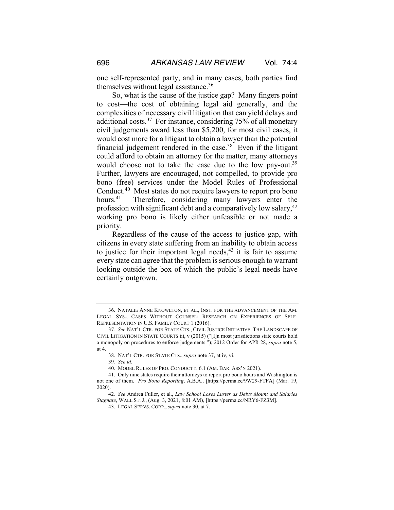one self-represented party, and in many cases, both parties find themselves without legal assistance.<sup>36</sup>

So, what is the cause of the justice gap? Many fingers point to cost—the cost of obtaining legal aid generally, and the complexities of necessary civil litigation that can yield delays and additional costs.<sup>37</sup> For instance, considering  $75%$  of all monetary civil judgements award less than \$5,200, for most civil cases, it would cost more for a litigant to obtain a lawyer than the potential financial judgement rendered in the case.<sup>38</sup> Even if the litigant could afford to obtain an attorney for the matter, many attorneys would choose not to take the case due to the low pay-out.<sup>39</sup> Further, lawyers are encouraged, not compelled, to provide pro bono (free) services under the Model Rules of Professional Conduct.40 Most states do not require lawyers to report pro bono hours.<sup>41</sup> Therefore, considering many lawyers enter the profession with significant debt and a comparatively low salary, $42$ working pro bono is likely either unfeasible or not made a priority.

Regardless of the cause of the access to justice gap, with citizens in every state suffering from an inability to obtain access to justice for their important legal needs, $43$  it is fair to assume every state can agree that the problem is serious enough to warrant looking outside the box of which the public's legal needs have certainly outgrown.

<sup>36.</sup> NATALIE ANNE KNOWLTON, ET AL., INST. FOR THE ADVANCEMENT OF THE AM. LEGAL SYS., CASES WITHOUT COUNSEL: RESEARCH ON EXPERIENCES OF SELF-REPRESENTATION IN U.S. FAMILY COURT 1 (2016).

<sup>37</sup>*. See* NAT'L CTR. FOR STATE CTS., CIVIL JUSTICE INITIATIVE: THE LANDSCAPE OF CIVIL LITIGATION IN STATE COURTS iii, v (2015) ("[I]n most jurisdictions state courts hold a monopoly on procedures to enforce judgements."); 2012 Order for APR 28, *supra* note 5, at 4.

<sup>38.</sup> NAT'L CTR. FOR STATE CTS., *supra* note 37, at iv, vi.

<sup>39</sup>*. See id.*

<sup>40.</sup> MODEL RULES OF PRO. CONDUCT r. 6.1 (AM. BAR. ASS'N 2021).

<sup>41.</sup> Only nine states require their attorneys to report pro bono hours and Washington is not one of them. *Pro Bono Reporting*, A.B.A., [https://perma.cc/9W29-FTFA] (Mar. 19, 2020).

<sup>42</sup>*. See* Andrea Fuller, et al., *Law School Loses Luster as Debts Mount and Salaries Stagnate*, WALL ST. J., (Aug. 3, 2021, 8:01 AM), [https://perma.cc/NRY6-FZ3M].

<sup>43.</sup> LEGAL SERVS. CORP., *supra* note 30, at 7.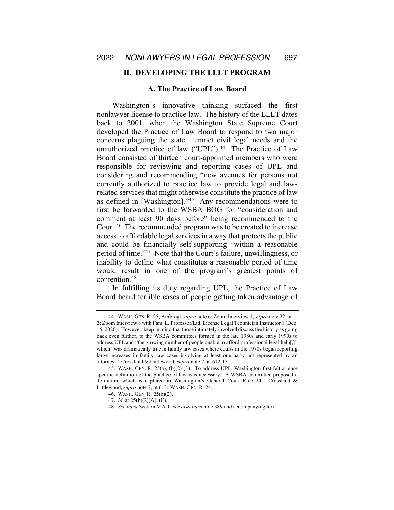# **II. DEVELOPING THE LLLT PROGRAM**

# **A. The Practice of Law Board**

Washington's innovative thinking surfaced the first nonlawyer license to practice law. The history of the LLLT dates back to 2001, when the Washington State Supreme Court developed the Practice of Law Board to respond to two major concerns plaguing the state: unmet civil legal needs and the unauthorized practice of law ("UPL"). $44$  The Practice of Law Board consisted of thirteen court-appointed members who were responsible for reviewing and reporting cases of UPL and considering and recommending "new avenues for persons not currently authorized to practice law to provide legal and lawrelated services that might otherwise constitute the practice of law as defined in [Washington]."45 Any recommendations were to first be forwarded to the WSBA BOG for "consideration and comment at least 90 days before" being recommended to the Court.46 The recommended program was to be created to increase access to affordable legal services in a way that protects the public and could be financially self-supporting "within a reasonable period of time."47 Note that the Court's failure, unwillingness, or inability to define what constitutes a reasonable period of time would result in one of the program's greatest points of contention.48

In fulfilling its duty regarding UPL, the Practice of Law Board heard terrible cases of people getting taken advantage of

<sup>44.</sup> WASH. GEN. R. 25; Ambrogi, *supra* note 6; Zoom Interview 1, *supra* note 22, at 1- 2; Zoom Interview 8 with Fam. L. Professor/Ltd. License Legal Technician Instructor 1 (Dec. 15, 2020). However, keep in mind that those intimately involved discuss the history as going back even further, to the WSBA committees formed in the late 1980s and early 1990s to address UPL and "the growing number of people unable to afford professional legal help[,]" which "was dramatically true in family law cases where courts in the 1970s began reporting large increases in family law cases involving at least one party not represented by an attorney." Crossland & Littlewood, *supra* note 7, at 612-13.

<sup>45.</sup> WASH. GEN. R. 25(a), (b)(2)-(3). To address UPL, Washington first felt a more specific definition of the practice of law was necessary. A WSBA committee proposed a definition, which is captured in Washington's General Court Rule 24. Crossland & Littlewood, *supra* note 7, at 613; WASH. GEN. R. 24.

<sup>46.</sup> WASH. GEN. R. 25(b)(2).

<sup>47.</sup> *Id.* at 25(b)(2)(A), (E).

<sup>48</sup>*. See infra* Section V.A.1; *see also infra* note 389 and accompanying text.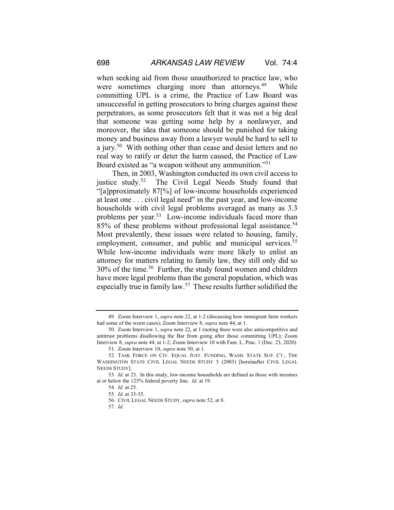when seeking aid from those unauthorized to practice law, who were sometimes charging more than attorneys.<sup>49</sup> While committing UPL is a crime, the Practice of Law Board was unsuccessful in getting prosecutors to bring charges against these perpetrators, as some prosecutors felt that it was not a big deal that someone was getting some help by a nonlawyer, and moreover, the idea that someone should be punished for taking money and business away from a lawyer would be hard to sell to a jury.50 With nothing other than cease and desist letters and no real way to ratify or deter the harm caused, the Practice of Law Board existed as "a weapon without any ammunition."51

Then, in 2003, Washington conducted its own civil access to justice study.<sup>52</sup> The Civil Legal Needs Study found that "[a]pproximately 87[%] of low-income households experienced at least one . . . civil legal need" in the past year, and low-income households with civil legal problems averaged as many as 3.3 problems per year.53 Low-income individuals faced more than 85% of these problems without professional legal assistance.<sup>54</sup> Most prevalently, these issues were related to housing, family, employment, consumer, and public and municipal services.<sup>55</sup> While low-income individuals were more likely to enlist an attorney for matters relating to family law, they still only did so 30% of the time.56 Further, the study found women and children have more legal problems than the general population, which was especially true in family law.<sup>57</sup> These results further solidified the

57*. Id.*

<sup>49.</sup> Zoom Interview 1, *supra* note 22, at 1-2 (discussing how immigrant farm workers had some of the worst cases); Zoom Interview 8, *supra* note 44, at 1.

<sup>50.</sup> Zoom Interview 1, *supra* note 22, at 1 (noting there were also anticompetitive and antitrust problems disallowing the Bar from going after those committing UPL); Zoom Interview 8, *supra* note 44, at 1-2; Zoom Interview 10 with Fam. L. Prac. 1 (Dec. 23, 2020). 51. Zoom Interview 10, *supra* note 50, at 1.

<sup>52.</sup> TASK FORCE ON CIV. EQUAL JUST. FUNDING, WASH. STATE SUP. CT., THE WASHINGTON STATE CIVIL LEGAL NEEDS STUDY 5 (2003) [hereinafter CIVIL LEGAL NEEDS STUDY].

<sup>53</sup>*. Id.* at 23. In this study, low-income households are defined as those with incomes at or below the 125% federal poverty line. *Id.* at 19.

<sup>54</sup>*. Id.* at 25.

<sup>55</sup>*. Id.* at 33-35.

<sup>56.</sup> CIVIL LEGAL NEEDS STUDY, *supra* note 52, at 8.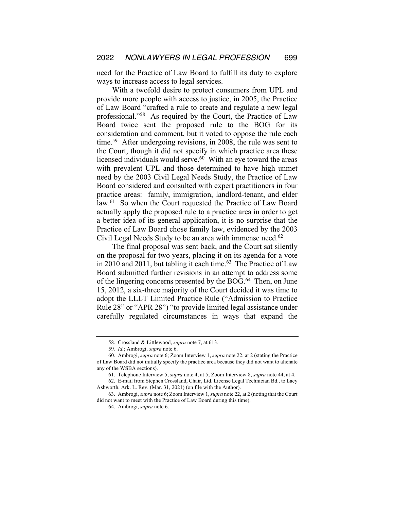need for the Practice of Law Board to fulfill its duty to explore ways to increase access to legal services.

With a twofold desire to protect consumers from UPL and provide more people with access to justice, in 2005, the Practice of Law Board "crafted a rule to create and regulate a new legal professional."58 As required by the Court, the Practice of Law Board twice sent the proposed rule to the BOG for its consideration and comment, but it voted to oppose the rule each time.<sup>59</sup> After undergoing revisions, in 2008, the rule was sent to the Court, though it did not specify in which practice area these licensed individuals would serve.<sup>60</sup> With an eye toward the areas with prevalent UPL and those determined to have high unmet need by the 2003 Civil Legal Needs Study, the Practice of Law Board considered and consulted with expert practitioners in four practice areas: family, immigration, landlord-tenant, and elder law.<sup>61</sup> So when the Court requested the Practice of Law Board actually apply the proposed rule to a practice area in order to get a better idea of its general application, it is no surprise that the Practice of Law Board chose family law, evidenced by the 2003 Civil Legal Needs Study to be an area with immense need.<sup>62</sup>

The final proposal was sent back, and the Court sat silently on the proposal for two years, placing it on its agenda for a vote in 2010 and 2011, but tabling it each time. $63$  The Practice of Law Board submitted further revisions in an attempt to address some of the lingering concerns presented by the BOG.<sup>64</sup> Then, on June 15, 2012, a six-three majority of the Court decided it was time to adopt the LLLT Limited Practice Rule ("Admission to Practice Rule 28" or "APR 28") "to provide limited legal assistance under carefully regulated circumstances in ways that expand the

<sup>58.</sup> Crossland & Littlewood, *supra* note 7, at 613.

<sup>59</sup>*. Id.*; Ambrogi, *supra* note 6.

<sup>60.</sup> Ambrogi, *supra* note 6; Zoom Interview 1, *supra* note 22, at 2 (stating the Practice of Law Board did not initially specify the practice area because they did not want to alienate any of the WSBA sections).

<sup>61.</sup> Telephone Interview 5, *supra* note 4, at 5; Zoom Interview 8, *supra* note 44, at 4.

<sup>62.</sup> E-mail from Stephen Crossland, Chair, Ltd. License Legal Technician Bd., to Lacy Ashworth, Ark. L. Rev. (Mar. 31, 2021) (on file with the Author).

<sup>63.</sup> Ambrogi, *supra* note 6; Zoom Interview 1, *supra* note 22, at 2 (noting that the Court did not want to meet with the Practice of Law Board during this time).

<sup>64.</sup> Ambrogi, *supra* note 6.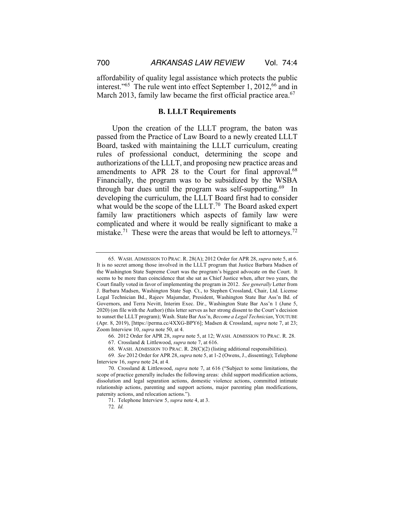affordability of quality legal assistance which protects the public interest."<sup>65</sup> The rule went into effect September 1, 2012,<sup>66</sup> and in March 2013, family law became the first official practice area.<sup>67</sup>

# **B. LLLT Requirements**

Upon the creation of the LLLT program, the baton was passed from the Practice of Law Board to a newly created LLLT Board, tasked with maintaining the LLLT curriculum, creating rules of professional conduct, determining the scope and authorizations of the LLLT, and proposing new practice areas and amendments to APR 28 to the Court for final approval.<sup>68</sup> Financially, the program was to be subsidized by the WSBA through bar dues until the program was self-supporting.<sup>69</sup> In developing the curriculum, the LLLT Board first had to consider what would be the scope of the LLLT.<sup>70</sup> The Board asked expert family law practitioners which aspects of family law were complicated and where it would be really significant to make a mistake.<sup>71</sup> These were the areas that would be left to attorneys.<sup>72</sup>

68. WASH. ADMISSION TO PRAC. R. 28(C)(2) (listing additional responsibilities).

<sup>65.</sup> WASH. ADMISSION TO PRAC. R. 28(A); 2012 Order for APR 28, *supra* note 5, at 6. It is no secret among those involved in the LLLT program that Justice Barbara Madsen of the Washington State Supreme Court was the program's biggest advocate on the Court. It seems to be more than coincidence that she sat as Chief Justice when, after two years, the Court finally voted in favor of implementing the program in 2012. *See generally* Letter from J. Barbara Madsen, Washington State Sup. Ct., to Stephen Crossland, Chair, Ltd. License Legal Technician Bd., Rajeev Majumdar, President, Washington State Bar Ass'n Bd. of Governors, and Terra Nevitt, Interim Exec. Dir., Washington State Bar Ass'n 1 (June 5, 2020) (on file with the Author) (this letter serves as her strong dissent to the Court's decision to sunset the LLLT program); Wash. State Bar Ass'n, *Become a Legal Technician*, YOUTUBE (Apr. 8, 2019), [https://perma.cc/4XXG-BPY6]; Madsen & Crossland, *supra* note 7, at 23; Zoom Interview 10, *supra* note 50, at 4.

<sup>66.</sup> 2012 Order for APR 28, *supra* note 5, at 12; WASH. ADMISSION TO PRAC. R. 28.

<sup>67.</sup> Crossland & Littlewood, *supra* note 7, at 616.

<sup>69</sup>*. See* 2012 Order for APR 28, *supra* note 5, at 1-2 (Owens, J., dissenting); Telephone Interview 16, *supra* note 24, at 4.

<sup>70.</sup> Crossland & Littlewood, *supra* note 7, at 616 ("Subject to some limitations, the scope of practice generally includes the following areas: child support modification actions, dissolution and legal separation actions, domestic violence actions, committed intimate relationship actions, parenting and support actions, major parenting plan modifications, paternity actions, and relocation actions.").

<sup>71.</sup> Telephone Interview 5, *supra* note 4, at 3.

<sup>72</sup>*. Id.*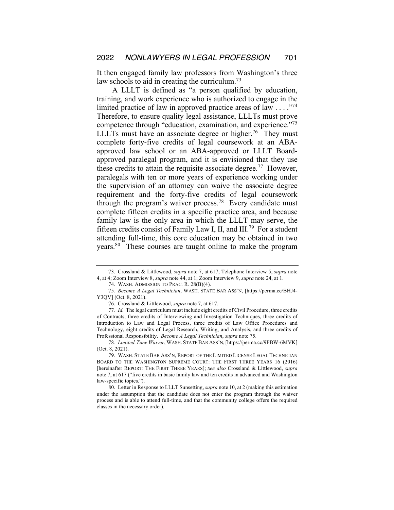It then engaged family law professors from Washington's three law schools to aid in creating the curriculum.<sup>73</sup>

A LLLT is defined as "a person qualified by education, training, and work experience who is authorized to engage in the limited practice of law in approved practice areas of law  $\dots$ ."<sup>74</sup> Therefore, to ensure quality legal assistance, LLLTs must prove competence through "education, examination, and experience."75 LLLTs must have an associate degree or higher.<sup>76</sup> They must complete forty-five credits of legal coursework at an ABAapproved law school or an ABA-approved or LLLT Boardapproved paralegal program, and it is envisioned that they use these credits to attain the requisite associate degree.<sup>77</sup> However, paralegals with ten or more years of experience working under the supervision of an attorney can waive the associate degree requirement and the forty-five credits of legal coursework through the program's waiver process.78 Every candidate must complete fifteen credits in a specific practice area, and because family law is the only area in which the LLLT may serve, the fifteen credits consist of Family Law I, II, and III.79 For a student attending full-time, this core education may be obtained in two years.<sup>80</sup> These courses are taught online to make the program

<sup>73.</sup> Crossland & Littlewood, *supra* note 7, at 617; Telephone Interview 5, *supra* note 4, at 4; Zoom Interview 8, *supra* note 44, at 1; Zoom Interview 9, *supra* note 24, at 1.

<sup>74.</sup> WASH. ADMISSION TO PRAC. R. 28(B)(4).

<sup>75</sup>*. Become A Legal Technician*, WASH. STATE BAR ASS'N, [https://perma.cc/BHJ4- Y3QV] (Oct. 8, 2021).

<sup>76.</sup> Crossland & Littlewood, *supra* note 7, at 617.

<sup>77</sup>*. Id.* The legal curriculum must include eight credits of Civil Procedure, three credits of Contracts, three credits of Interviewing and Investigation Techniques, three credits of Introduction to Law and Legal Process, three credits of Law Office Procedures and Technology, eight credits of Legal Research, Writing, and Analysis, and three credits of Professional Responsibility. *Become A Legal Technician*, *supra* note 75.

<sup>78</sup>*. Limited-Time Waiver*, WASH. STATE BAR ASS'N,[https://perma.cc/9PBW-6MVK] (Oct. 8, 2021).

<sup>79.</sup> WASH. STATE BAR ASS'N, REPORT OF THE LIMITED LICENSE LEGAL TECHNICIAN BOARD TO THE WASHINGTON SUPREME COURT: THE FIRST THREE YEARS 16 (2016) [hereinafter REPORT: THE FIRST THREE YEARS]; *See also* Crossland & Littlewood, *supra* note 7, at 617 ("five credits in basic family law and ten credits in advanced and Washington law-specific topics.").

<sup>80.</sup> Letter in Response to LLLT Sunsetting, *supra* note 10, at 2 (making this estimation under the assumption that the candidate does not enter the program through the waiver process and is able to attend full-time, and that the community college offers the required classes in the necessary order).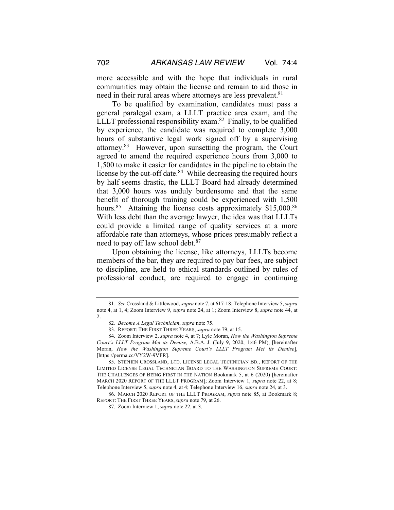more accessible and with the hope that individuals in rural communities may obtain the license and remain to aid those in need in their rural areas where attorneys are less prevalent.<sup>81</sup>

To be qualified by examination, candidates must pass a general paralegal exam, a LLLT practice area exam, and the LLLT professional responsibility exam.<sup>82</sup> Finally, to be qualified by experience, the candidate was required to complete 3,000 hours of substantive legal work signed off by a supervising attorney.83 However, upon sunsetting the program, the Court agreed to amend the required experience hours from 3,000 to 1,500 to make it easier for candidates in the pipeline to obtain the license by the cut-off date. $84$  While decreasing the required hours by half seems drastic, the LLLT Board had already determined that 3,000 hours was unduly burdensome and that the same benefit of thorough training could be experienced with 1,500 hours.<sup>85</sup> Attaining the license costs approximately \$15,000.<sup>86</sup> With less debt than the average lawyer, the idea was that LLLTs could provide a limited range of quality services at a more affordable rate than attorneys, whose prices presumably reflect a need to pay off law school debt.<sup>87</sup>

Upon obtaining the license, like attorneys, LLLTs become members of the bar, they are required to pay bar fees, are subject to discipline, are held to ethical standards outlined by rules of professional conduct, are required to engage in continuing

85. STEPHEN CROSSLAND, LTD. LICENSE LEGAL TECHNICIAN BD., REPORT OF THE LIMITED LICENSE LEGAL TECHNICIAN BOARD TO THE WASHINGTON SUPREME COURT: THE CHALLENGES OF BEING FIRST IN THE NATION Bookmark 5, at 6 (2020) [hereinafter MARCH 2020 REPORT OF THE LLLT PROGRAM]; Zoom Interview 1, *supra* note 22, at 8; Telephone Interview 5, *supra* note 4, at 4; Telephone Interview 16, *supra* note 24, at 3.

86. MARCH 2020 REPORT OF THE LLLT PROGRAM, *supra* note 85, at Bookmark 8; REPORT: THE FIRST THREE YEARS, *supra* note 79, at 26.

<sup>81</sup>*. See* Crossland & Littlewood, *supra* note 7, at 617-18; Telephone Interview 5, *supra* note 4, at 1, 4; Zoom Interview 9, *supra* note 24, at 1; Zoom Interview 8, *supra* note 44, at 2.

<sup>82</sup>*. Become A Legal Technician*, *supra* note 75.

<sup>83.</sup> REPORT: THE FIRST THREE YEARS, *supra* note 79, at 15.

<sup>84.</sup> Zoom Interview 2, *supra* note 4, at 7; Lyle Moran, *How the Washington Supreme Court's LLLT Program Met its Demise,* A.B.A. J. (July 9, 2020, 1:46 PM), [hereinafter Moran, *How the Washington Supreme Court's LLLT Program Met its Demise*], [https://perma.cc/VY2W-9VFR].

<sup>87.</sup> Zoom Interview 1, *supra* note 22, at 3.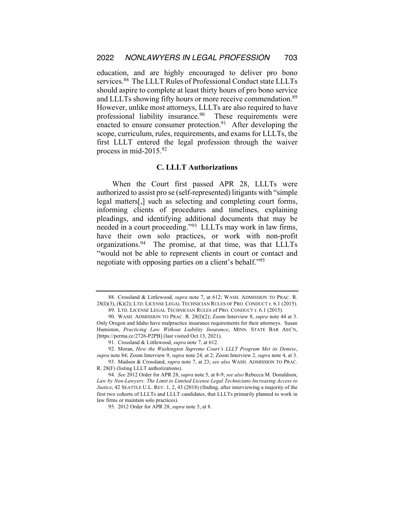education, and are highly encouraged to deliver pro bono services.<sup>88</sup> The LLLT Rules of Professional Conduct state LLLTs should aspire to complete at least thirty hours of pro bono service and LLLTs showing fifty hours or more receive commendation.<sup>89</sup> However, unlike most attorneys, LLLTs are also required to have professional liability insurance.<sup>90</sup> These requirements were enacted to ensure consumer protection. $91$  After developing the scope, curriculum, rules, requirements, and exams for LLLTs, the first LLLT entered the legal profession through the waiver process in mid-2015.92

# **C. LLLT Authorizations**

When the Court first passed APR 28, LLLTs were authorized to assist pro se (self-represented) litigants with "simple legal matters[,] such as selecting and completing court forms, informing clients of procedures and timelines, explaining pleadings, and identifying additional documents that may be needed in a court proceeding."93 LLLTs may work in law firms, have their own solo practices, or work with non-profit organizations.94 The promise, at that time, was that LLLTs "would not be able to represent clients in court or contact and negotiate with opposing parties on a client's behalf."95

<sup>88.</sup> Crossland & Littlewood, *supra* note 7, at 612; WASH. ADMISSION TO PRAC. R. 28(I)(3), (K)(2); LTD. LICENSE LEGAL TECHNICIAN RULES OF PRO. CONDUCT r. 6.1 (2015).

<sup>89.</sup> LTD. LICENSE LEGAL TECHNICIAN RULES of PRO. CONDUCT r. 6.1 (2015).

<sup>90.</sup> WASH. ADMISSION TO PRAC. R. 28(I)(2); Zoom Interview 8, *supra* note 44 at 3. Only Oregon and Idaho have malpractice insurance requirements for their attorneys. Susan Humiston, *Practicing Law Without Liability Insurance*, MINN. STATE BAR ASS'N, [https://perma.cc/2726-P2PB] (last visited Oct.13, 2021).

<sup>91.</sup> Crossland & Littlewood, *supra* note 7, at 612.

<sup>92.</sup> Moran, *How the Washington Supreme Court's LLLT Program Met its Demise*, *supra* note 84; Zoom Interview 9, *supra* note 24, at 2; Zoom Interview 2, *supra* note 4, at 3. 93. Madsen & Crossland, *supra* note 7, at 23; *see also* WASH. ADMISSION TO PRAC. R. 28(F) (listing LLLT authorizations).

<sup>94</sup>*. See* 2012 Order for APR 28, *supra* note 5, at 8-9; *see also* Rebecca M. Donaldson, *Law by Non-Lawyers: The Limit to Limited License Legal Technicians Increasing Access to Justice*, 42 SEATTLE U.L. REV. 1, 2, 43 (2018) (finding, after interviewing a majority of the first two cohorts of LLLTs and LLLT candidates, that LLLTs primarily planned to work in law firms or maintain solo practices).

<sup>95.</sup> 2012 Order for APR 28, *supra* note 5, at 8.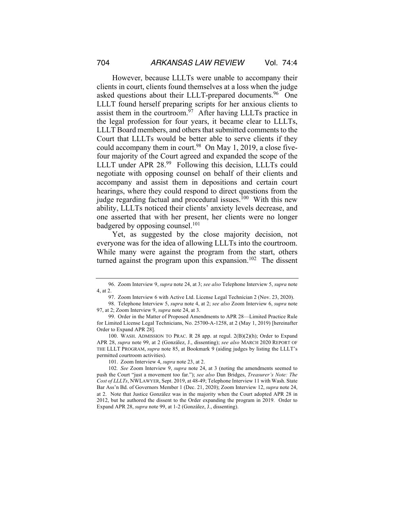However, because LLLTs were unable to accompany their clients in court, clients found themselves at a loss when the judge asked questions about their LLLT-prepared documents.<sup>96</sup> One LLLT found herself preparing scripts for her anxious clients to assist them in the courtroom. $\frac{97}{7}$  After having LLLTs practice in the legal profession for four years, it became clear to LLLTs, LLLT Board members, and others that submitted comments to the Court that LLLTs would be better able to serve clients if they could accompany them in court.<sup>98</sup> On May 1, 2019, a close fivefour majority of the Court agreed and expanded the scope of the LLLT under APR 28.99 Following this decision, LLLTs could negotiate with opposing counsel on behalf of their clients and accompany and assist them in depositions and certain court hearings, where they could respond to direct questions from the judge regarding factual and procedural issues. $100$  With this new ability, LLLTs noticed their clients' anxiety levels decrease, and one asserted that with her present, her clients were no longer badgered by opposing counsel.<sup>101</sup>

Yet, as suggested by the close majority decision, not everyone was for the idea of allowing LLLTs into the courtroom. While many were against the program from the start, others turned against the program upon this expansion.<sup>102</sup> The dissent

<sup>96.</sup> Zoom Interview 9, *supra* note 24, at 3; *see also* Telephone Interview 5, *supra* note 4, at 2.

<sup>97.</sup> Zoom Interview 6 with Active Ltd. License Legal Technician 2 (Nov. 23, 2020).

<sup>98.</sup> Telephone Interview 5, *supra* note 4, at 2; *see also* Zoom Interview 6, *supra* note 97, at 2; Zoom Interview 9, *supra* note 24, at 3.

<sup>99.</sup> Order in the Matter of Proposed Amendments to APR 28—Limited Practice Rule for Limited License Legal Technicians, No. 25700-A-1258, at 2 (May 1, 2019) [hereinafter Order to Expand APR 28].

<sup>100.</sup> WASH. ADMISSION TO PRAC. R 28 app. at regul. 2(B)(2)(h); Order to Expand APR 28, *supra* note 99, at 2 (González, J., dissenting); *see also* MARCH 2020 REPORT OF THE LLLT PROGRAM, *supra* note 85, at Bookmark 9 (aiding judges by listing the LLLT's permitted courtroom activities).

<sup>101.</sup> Zoom Interview 4, *supra* note 23, at 2.

<sup>102</sup>*. See* Zoom Interview 9, *supra* note 24, at 3 (noting the amendments seemed to push the Court "just a movement too far."); *see also* Dan Bridges, *Treasurer's Note: The Cost of LLLTs*, NWLAWYER, Sept. 2019, at 48-49; Telephone Interview 11 with Wash. State Bar Ass'n Bd. of Governors Member 1 (Dec. 21, 2020); Zoom Interview 12, *supra* note 24, at 2. Note that Justice González was in the majority when the Court adopted APR 28 in 2012, but he authored the dissent to the Order expanding the program in 2019. Order to Expand APR 28, *supra* note 99, at 1-2 (González, J., dissenting).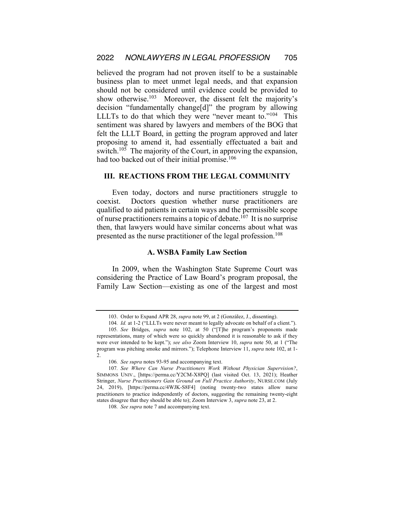believed the program had not proven itself to be a sustainable business plan to meet unmet legal needs, and that expansion should not be considered until evidence could be provided to show otherwise.<sup>103</sup> Moreover, the dissent felt the majority's decision "fundamentally change[d]" the program by allowing LLLTs to do that which they were "never meant to."104 This sentiment was shared by lawyers and members of the BOG that felt the LLLT Board, in getting the program approved and later proposing to amend it, had essentially effectuated a bait and switch.<sup>105</sup> The majority of the Court, in approving the expansion, had too backed out of their initial promise.<sup>106</sup>

#### **III. REACTIONS FROM THE LEGAL COMMUNITY**

Even today, doctors and nurse practitioners struggle to coexist. Doctors question whether nurse practitioners are qualified to aid patients in certain ways and the permissible scope of nurse practitioners remains a topic of debate.<sup>107</sup> It is no surprise then, that lawyers would have similar concerns about what was presented as the nurse practitioner of the legal profession.<sup>108</sup>

#### **A. WSBA Family Law Section**

In 2009, when the Washington State Supreme Court was considering the Practice of Law Board's program proposal, the Family Law Section—existing as one of the largest and most

<sup>103.</sup> Order to Expand APR 28, *supra* note 99, at 2 (González, J., dissenting).

<sup>104</sup>*. Id.* at 1-2 ("LLLTs were never meant to legally advocate on behalf of a client.").

<sup>105</sup>*. See* Bridges, *supra* note 102, at 50 ("[T]he program's proponents made representations, many of which were so quickly abandoned it is reasonable to ask if they were ever intended to be kept."); *see also* Zoom Interview 10, *supra* note 50, at 1 ("The program was pitching smoke and mirrors."); Telephone Interview 11, *supra* note 102, at 1- 2.

<sup>106</sup>*. See supra* notes 93-95 and accompanying text.

<sup>107</sup>*. See Where Can Nurse Practitioners Work Without Physician Supervision?*, SIMMONS UNIV., [https://perma.cc/Y2CM-X8PQ] (last visited Oct. 13, 2021); Heather Stringer, *Nurse Practitioners Gain Ground on Full Practice Authority*, NURSE.COM (July 24, 2019), [https://perma.cc/4WJK-S8F4] (noting twenty-two states allow nurse practitioners to practice independently of doctors, suggesting the remaining twenty-eight states disagree that they should be able to); Zoom Interview 3, *supra* note 23, at 2.

<sup>108</sup>*. See supra* note 7 and accompanying text.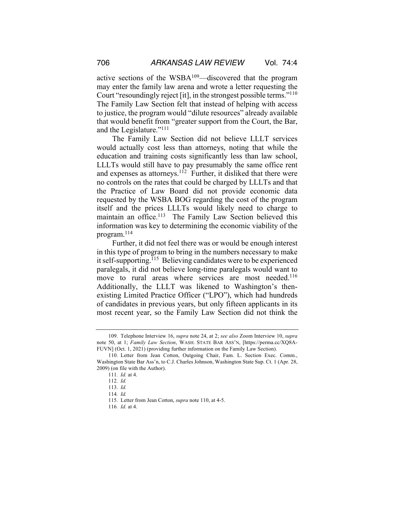active sections of the WSBA109—discovered that the program may enter the family law arena and wrote a letter requesting the Court "resoundingly reject [it], in the strongest possible terms."110 The Family Law Section felt that instead of helping with access to justice, the program would "dilute resources" already available

that would benefit from "greater support from the Court, the Bar, and the Legislature."111 The Family Law Section did not believe LLLT services

would actually cost less than attorneys, noting that while the education and training costs significantly less than law school, LLLTs would still have to pay presumably the same office rent and expenses as attorneys.<sup>112</sup> Further, it disliked that there were no controls on the rates that could be charged by LLLTs and that the Practice of Law Board did not provide economic data requested by the WSBA BOG regarding the cost of the program itself and the prices LLLTs would likely need to charge to maintain an office.<sup>113</sup> The Family Law Section believed this information was key to determining the economic viability of the program.114

Further, it did not feel there was or would be enough interest in this type of program to bring in the numbers necessary to make it self-supporting.<sup>115</sup> Believing candidates were to be experienced paralegals, it did not believe long-time paralegals would want to move to rural areas where services are most needed.<sup>116</sup> Additionally, the LLLT was likened to Washington's thenexisting Limited Practice Officer ("LPO"), which had hundreds of candidates in previous years, but only fifteen applicants in its most recent year, so the Family Law Section did not think the

<sup>109.</sup> Telephone Interview 16, *supra* note 24, at 2; *see also* Zoom Interview 10, *supra* note 50, at 1; *Family Law Section*, WASH. STATE BAR ASS'N, [https://perma.cc/XQ8A-FUVN] (Oct. 1, 2021) (providing further information on the Family Law Section).

<sup>110.</sup> Letter from Jean Cotton, Outgoing Chair, Fam. L. Section Exec. Comm., Washington State Bar Ass'n, to C.J. Charles Johnson, Washington State Sup. Ct. 1 (Apr. 28, 2009) (on file with the Author).

<sup>111</sup>*. Id.* at 4.

<sup>112</sup>*. Id.* 

<sup>113</sup>*. Id.* 

<sup>114</sup>*. Id.* 

<sup>115.</sup> Letter from Jean Cotton, *supra* note 110, at 4-5.

<sup>116</sup>*. Id.* at 4.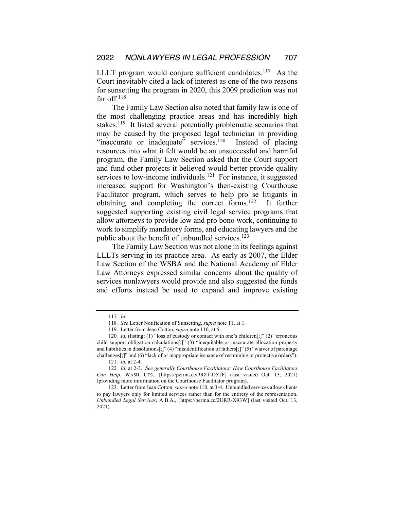LLLT program would conjure sufficient candidates.<sup>117</sup> As the Court inevitably cited a lack of interest as one of the two reasons for sunsetting the program in 2020, this 2009 prediction was not far off. $118$ 

The Family Law Section also noted that family law is one of the most challenging practice areas and has incredibly high stakes.<sup>119</sup> It listed several potentially problematic scenarios that may be caused by the proposed legal technician in providing "inaccurate or inadequate" services.<sup>120</sup> Instead of placing resources into what it felt would be an unsuccessful and harmful program, the Family Law Section asked that the Court support and fund other projects it believed would better provide quality services to low-income individuals.<sup>121</sup> For instance, it suggested increased support for Washington's then-existing Courthouse Facilitator program, which serves to help pro se litigants in obtaining and completing the correct forms.122 It further suggested supporting existing civil legal service programs that allow attorneys to provide low and pro bono work, continuing to work to simplify mandatory forms, and educating lawyers and the public about the benefit of unbundled services.<sup>123</sup>

The Family Law Section was not alone in its feelings against LLLTs serving in its practice area. As early as 2007, the Elder Law Section of the WSBA and the National Academy of Elder Law Attorneys expressed similar concerns about the quality of services nonlawyers would provide and also suggested the funds and efforts instead be used to expand and improve existing

<sup>117</sup>*. Id.* 

<sup>118</sup>*. See* Letter Notification of Sunsetting, *supra* note 11, at 1.

<sup>119.</sup> Letter from Jean Cotton, *supra* note 110, at 5.

<sup>120</sup>*. Id.* (listing: (1) "loss of custody or contact with one's children[;]" (2) "erroneous child support obligation calculations[;]" (3) "inequitable or inaccurate allocation property and liabilities in dissolutions[;]" (4) "misidentification of fathers[;]" (5) "waiver of parentage challenges[;]" and (6) "lack of or inappropriate issuance of restraining or protective orders").

<sup>121</sup>*. Id.* at 2-4.

<sup>122</sup>*. Id.* at 2-3. *See generally Courthouse Facilitators: How Courthouse Facilitators Can Help*, WASH. CTS., [https://perma.cc/9R8T-D5TF] (last visited Oct. 13, 2021) (providing more information on the Courthouse Facilitator program).

<sup>123.</sup> Letter from Jean Cotton, *supra* note 110, at 3-4. Unbundled services allow clients to pay lawyers only for limited services rather than for the entirety of the representation. *Unbundled Legal Services*, A.B.A., [https://perma.cc/2URR-X93W] (last visited Oct. 13, 2021).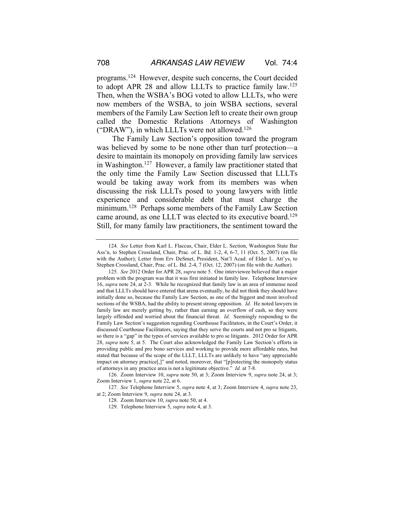programs.124 However, despite such concerns, the Court decided to adopt APR 28 and allow LLLTs to practice family law.125 Then, when the WSBA's BOG voted to allow LLLTs, who were now members of the WSBA, to join WSBA sections, several members of the Family Law Section left to create their own group called the Domestic Relations Attorneys of Washington ("DRAW"), in which LLLTs were not allowed.<sup>126</sup>

The Family Law Section's opposition toward the program was believed by some to be none other than turf protection—a desire to maintain its monopoly on providing family law services in Washington.<sup>127</sup> However, a family law practitioner stated that the only time the Family Law Section discussed that LLLTs would be taking away work from its members was when discussing the risk LLLTs posed to young lawyers with little experience and considerable debt that must charge the minimum.<sup>128</sup> Perhaps some members of the Family Law Section came around, as one LLLT was elected to its executive board.129 Still, for many family law practitioners, the sentiment toward the

<sup>124</sup>*. See* Letter from Karl L. Flaccus, Chair, Elder L. Section, Washington State Bar Ass'n, to Stephen Crossland, Chair, Prac. of L. Bd. 1-2, 4, 6-7, 11 (Oct. 5, 2007) (on file with the Author); Letter from Erv DeSmet, President, Nat'l Acad. of Elder L. Att'ys, to Stephen Crossland, Chair, Prac. of L. Bd. 2-4, 7 (Oct. 12, 2007) (on file with the Author).

<sup>125</sup>*. See* 2012 Order for APR 28, *supra* note 5. One interviewee believed that a major problem with the program was that it was first initiated in family law. Telephone Interview 16, *supra* note 24, at 2-3. While he recognized that family law is an area of immense need and that LLLTs should have entered that arena eventually, he did not think they should have initially done so, because the Family Law Section, as one of the biggest and most involved sections of the WSBA, had the ability to present strong opposition. *Id.* He noted lawyers in family law are merely getting by, rather than earning an overflow of cash, so they were largely offended and worried about the financial threat. *Id.* Seemingly responding to the Family Law Section's suggestion regarding Courthouse Facilitators, in the Court's Order, it discussed Courthouse Facilitators, saying that they serve the courts and not pro se litigants, so there is a "gap" in the types of services available to pro se litigants. 2012 Order for APR 28, *supra* note 5, at 5. The Court also acknowledged the Family Law Section's efforts in providing public and pro bono services and working to provide more affordable rates, but stated that because of the scope of the LLLT, LLLTs are unlikely to have "any appreciable impact on attorney practice[,]" and noted, moreover, that "[p]rotecting the monopoly status of attorneys in any practice area is not a legitimate objective." *Id.* at 7-8.

<sup>126.</sup> Zoom Interview 10, *supra* note 50, at 3; Zoom Interview 9, *supra* note 24, at 3; Zoom Interview 1, *supra* note 22, at 6.

<sup>127</sup>*. See* Telephone Interview 5, *supra* note 4, at 3; Zoom Interview 4, *supra* note 23, at 2; Zoom Interview 9, *supra* note 24, at 3.

<sup>128.</sup> Zoom Interview 10, *supra* note 50, at 4.

<sup>129.</sup> Telephone Interview 5, *supra* note 4, at 3.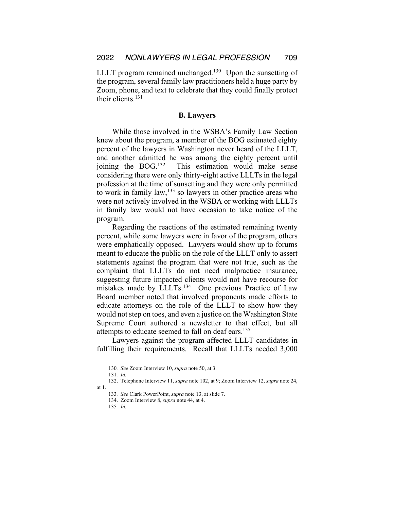LLLT program remained unchanged.<sup>130</sup> Upon the sunsetting of the program, several family law practitioners held a huge party by Zoom, phone, and text to celebrate that they could finally protect their clients.<sup>131</sup>

#### **B. Lawyers**

While those involved in the WSBA's Family Law Section knew about the program, a member of the BOG estimated eighty percent of the lawyers in Washington never heard of the LLLT, and another admitted he was among the eighty percent until joining the BOG.<sup>132</sup> This estimation would make sense considering there were only thirty-eight active LLLTs in the legal profession at the time of sunsetting and they were only permitted to work in family law,133 so lawyers in other practice areas who were not actively involved in the WSBA or working with LLLTs in family law would not have occasion to take notice of the program.

Regarding the reactions of the estimated remaining twenty percent, while some lawyers were in favor of the program, others were emphatically opposed. Lawyers would show up to forums meant to educate the public on the role of the LLLT only to assert statements against the program that were not true, such as the complaint that LLLTs do not need malpractice insurance, suggesting future impacted clients would not have recourse for mistakes made by LLLTs.<sup>134</sup> One previous Practice of Law Board member noted that involved proponents made efforts to educate attorneys on the role of the LLLT to show how they would not step on toes, and even a justice on the Washington State Supreme Court authored a newsletter to that effect, but all attempts to educate seemed to fall on deaf ears.<sup>135</sup>

Lawyers against the program affected LLLT candidates in fulfilling their requirements. Recall that LLLTs needed 3,000

<sup>130</sup>*. See* Zoom Interview 10, *supra* note 50, at 3.

<sup>131</sup>*. Id.*

<sup>132.</sup> Telephone Interview 11, *supra* note 102, at 9; Zoom Interview 12, *supra* note 24, at 1.

<sup>133</sup>*. See* Clark PowerPoint, *supra* note 13, at slide 7.

<sup>134.</sup> Zoom Interview 8, *supra* note 44, at 4.

<sup>135</sup>*. Id.*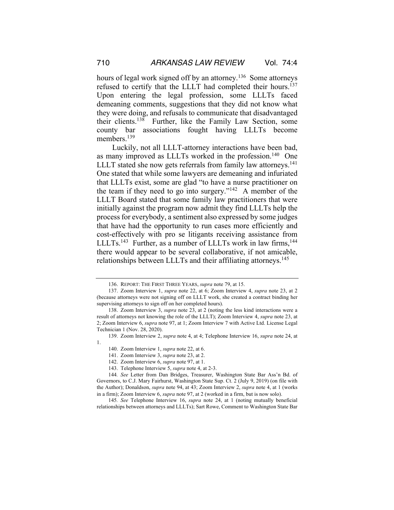hours of legal work signed off by an attorney.<sup>136</sup> Some attorneys refused to certify that the LLLT had completed their hours.<sup>137</sup> Upon entering the legal profession, some LLLTs faced demeaning comments, suggestions that they did not know what they were doing, and refusals to communicate that disadvantaged their clients.138 Further, like the Family Law Section, some county bar associations fought having LLLTs become members.<sup>139</sup>

Luckily, not all LLLT-attorney interactions have been bad, as many improved as LLLTs worked in the profession.<sup>140</sup> One LLLT stated she now gets referrals from family law attorneys.<sup>141</sup> One stated that while some lawyers are demeaning and infuriated that LLLTs exist, some are glad "to have a nurse practitioner on the team if they need to go into surgery."142 A member of the LLLT Board stated that some family law practitioners that were initially against the program now admit they find LLLTs help the process for everybody, a sentiment also expressed by some judges that have had the opportunity to run cases more efficiently and cost-effectively with pro se litigants receiving assistance from LLLTs.<sup>143</sup> Further, as a number of LLLTs work in law firms,  $144$ there would appear to be several collaborative, if not amicable, relationships between LLLTs and their affiliating attorneys.<sup>145</sup>

1.

<sup>136.</sup> REPORT: THE FIRST THREE YEARS, *supra* note 79, at 15.

<sup>137.</sup> Zoom Interview 1, *supra* note 22, at 6; Zoom Interview 4, *supra* note 23, at 2 (because attorneys were not signing off on LLLT work, she created a contract binding her supervising attorneys to sign off on her completed hours).

<sup>138.</sup> Zoom Interview 3, *supra* note 23, at 2 (noting the less kind interactions were a result of attorneys not knowing the role of the LLLT); Zoom Interview 4, *supra* note 23, at 2; Zoom Interview 6, *supra* note 97, at 1; Zoom Interview 7 with Active Ltd. License Legal Technician 1 (Nov. 28, 2020).

<sup>139.</sup> Zoom Interview 2, *supra* note 4, at 4; Telephone Interview 16, *supra* note 24, at

<sup>140.</sup> Zoom Interview 1, *supra* note 22, at 6.

<sup>141.</sup> Zoom Interview 3, *supra* note 23, at 2.

<sup>142.</sup> Zoom Interview 6, *supra* note 97, at 1.

<sup>143.</sup> Telephone Interview 5, *supra* note 4, at 2-3.

<sup>144</sup>*. See* Letter from Dan Bridges, Treasurer, Washington State Bar Ass'n Bd. of Governors, to C.J. Mary Fairhurst, Washington State Sup. Ct. 2 (July 9, 2019) (on file with the Author); Donaldson, *supra* note 94, at 43; Zoom Interview 2, *supra* note 4, at 1 (works in a firm); Zoom Interview 6, *supra* note 97, at 2 (worked in a firm, but is now solo).

<sup>145</sup>*. See* Telephone Interview 16, *supra* note 24, at 1 (noting mutually beneficial relationships between attorneys and LLLTs); Sart Rowe, Comment to Washington State Bar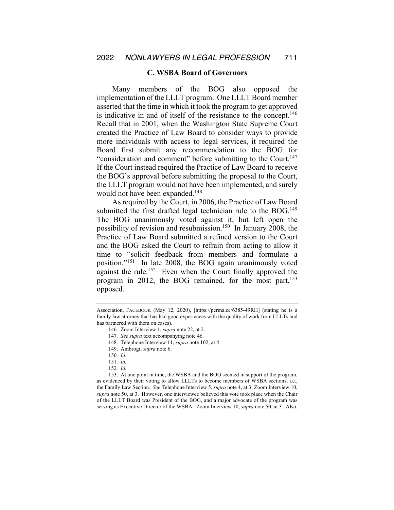#### **C. WSBA Board of Governors**

Many members of the BOG also opposed the implementation of the LLLT program. One LLLT Board member asserted that the time in which it took the program to get approved is indicative in and of itself of the resistance to the concept.<sup>146</sup> Recall that in 2001, when the Washington State Supreme Court created the Practice of Law Board to consider ways to provide more individuals with access to legal services, it required the Board first submit any recommendation to the BOG for "consideration and comment" before submitting to the Court.<sup>147</sup> If the Court instead required the Practice of Law Board to receive the BOG's approval before submitting the proposal to the Court, the LLLT program would not have been implemented, and surely would not have been expanded.<sup>148</sup>

As required by the Court, in 2006, the Practice of Law Board submitted the first drafted legal technician rule to the  $BOG<sup>149</sup>$ The BOG unanimously voted against it, but left open the possibility of revision and resubmission.150 In January 2008, the Practice of Law Board submitted a refined version to the Court and the BOG asked the Court to refrain from acting to allow it time to "solicit feedback from members and formulate a position."151 In late 2008, the BOG again unanimously voted against the rule.<sup>152</sup> Even when the Court finally approved the program in 2012, the BOG remained, for the most part,  $153$ opposed.

153. At one point in time, the WSBA and the BOG seemed in support of the program, as evidenced by their voting to allow LLLTs to become members of WSBA sections, i.e., the Family Law Section. *See* Telephone Interview 5, *supra* note 4, at 3; Zoom Interview 10, *supra* note 50, at 3. However, one interviewee believed this vote took place when the Chair of the LLLT Board was President of the BOG, and a major advocate of the program was serving as Executive Director of the WSBA. Zoom Interview 10, *supra* note 50, at 3. Also,

Association, FACEBOOK (May 12, 2020), [https://perma.cc/6385-49RH] (stating he is a family law attorney that has had good experiences with the quality of work from LLLTs and has partnered with them on cases).

<sup>146.</sup> Zoom Interview 1, *supra* note 22, at 2.

<sup>147</sup>*. See supra* text accompanying note 46.

<sup>148.</sup> Telephone Interview 11, *supra* note 102, at 4.

<sup>149.</sup> Ambrogi, *supra* note 6.

<sup>150</sup>*. Id.*

<sup>151</sup>*. Id.*

<sup>152</sup>*. Id.*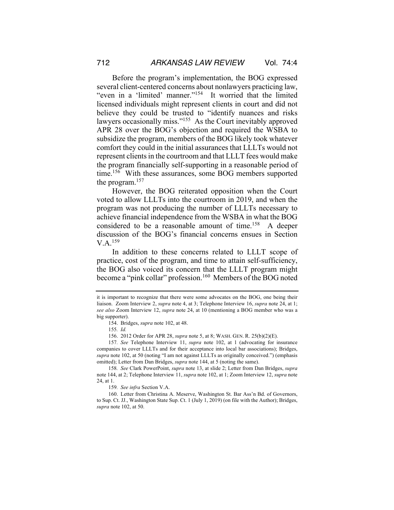Before the program's implementation, the BOG expressed several client-centered concerns about nonlawyers practicing law, "even in a 'limited' manner."154 It worried that the limited licensed individuals might represent clients in court and did not believe they could be trusted to "identify nuances and risks lawyers occasionally miss."<sup>155</sup> As the Court inevitably approved APR 28 over the BOG's objection and required the WSBA to subsidize the program, members of the BOG likely took whatever comfort they could in the initial assurances that LLLTs would not represent clients in the courtroom and that LLLT fees would make the program financially self-supporting in a reasonable period of time.<sup>156</sup> With these assurances, some BOG members supported the program.157

However, the BOG reiterated opposition when the Court voted to allow LLLTs into the courtroom in 2019, and when the program was not producing the number of LLLTs necessary to achieve financial independence from the WSBA in what the BOG considered to be a reasonable amount of time.158 A deeper discussion of the BOG's financial concerns ensues in Section V.A.159

In addition to these concerns related to LLLT scope of practice, cost of the program, and time to attain self-sufficiency, the BOG also voiced its concern that the LLLT program might become a "pink collar" profession.<sup>160</sup> Members of the BOG noted

it is important to recognize that there were some advocates on the BOG, one being their liaison. Zoom Interview 2, *supra* note 4, at 3; Telephone Interview 16, *supra* note 24, at 1; *see also* Zoom Interview 12, *supra* note 24, at 10 (mentioning a BOG member who was a big supporter).

<sup>154.</sup> Bridges, *supra* note 102, at 48.

<sup>155</sup>*. Id.*

<sup>156.</sup> 2012 Order for APR 28, *supra* note 5, at 8; WASH. GEN. R. 25(b)(2)(E).

<sup>157</sup>*. See* Telephone Interview 11, *supra* note 102, at 1 (advocating for insurance companies to cover LLLTs and for their acceptance into local bar associations); Bridges, *supra* note 102, at 50 (noting "I am not against LLLTs as originally conceived.") (emphasis omitted); Letter from Dan Bridges, *supra* note 144, at 5 (noting the same).

<sup>158</sup>*. See* Clark PowerPoint, *supra* note 13, at slide 2; Letter from Dan Bridges, *supra*  note 144, at 2; Telephone Interview 11, *supra* note 102, at 1; Zoom Interview 12, *supra* note 24, at 1.

<sup>159</sup>*. See infra* Section V.A.

<sup>160.</sup> Letter from Christina A. Meserve, Washington St. Bar Ass'n Bd. of Governors, to Sup. Ct. JJ., Washington State Sup. Ct. 1 (July 1, 2019) (on file with the Author); Bridges, *supra* note 102, at 50.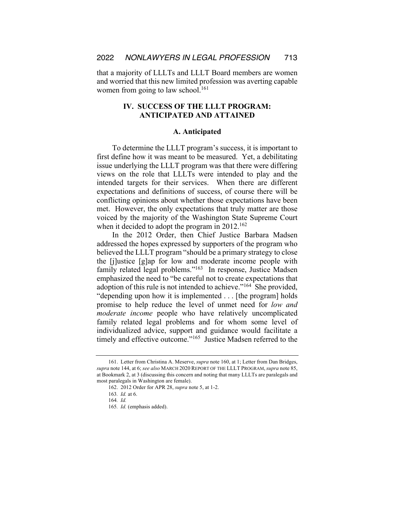that a majority of LLLTs and LLLT Board members are women and worried that this new limited profession was averting capable women from going to law school.<sup>161</sup>

# **IV. SUCCESS OF THE LLLT PROGRAM: ANTICIPATED AND ATTAINED**

#### **A. Anticipated**

To determine the LLLT program's success, it is important to first define how it was meant to be measured. Yet, a debilitating issue underlying the LLLT program was that there were differing views on the role that LLLTs were intended to play and the intended targets for their services. When there are different expectations and definitions of success, of course there will be conflicting opinions about whether those expectations have been met. However, the only expectations that truly matter are those voiced by the majority of the Washington State Supreme Court when it decided to adopt the program in  $2012^{162}$ 

In the 2012 Order, then Chief Justice Barbara Madsen addressed the hopes expressed by supporters of the program who believed the LLLT program "should be a primary strategy to close the [j]ustice [g]ap for low and moderate income people with family related legal problems."<sup>163</sup> In response, Justice Madsen emphasized the need to "be careful not to create expectations that adoption of this rule is not intended to achieve."164 She provided, "depending upon how it is implemented . . . [the program] holds promise to help reduce the level of unmet need for *low and moderate income* people who have relatively uncomplicated family related legal problems and for whom some level of individualized advice, support and guidance would facilitate a timely and effective outcome."<sup>165</sup> Justice Madsen referred to the

<sup>161.</sup> Letter from Christina A. Meserve, *supra* note 160, at 1; Letter from Dan Bridges, *supra* note 144, at 6; *see also* MARCH 2020 REPORT OF THE LLLT PROGRAM,*supra* note 85, at Bookmark 2, at 3 (discussing this concern and noting that many LLLTs are paralegals and most paralegals in Washington are female).

<sup>162.</sup> 2012 Order for APR 28, *supra* note 5, at 1-2.

<sup>163</sup>*. Id.* at 6.

<sup>164</sup>*. Id.*

<sup>165</sup>*. Id.* (emphasis added).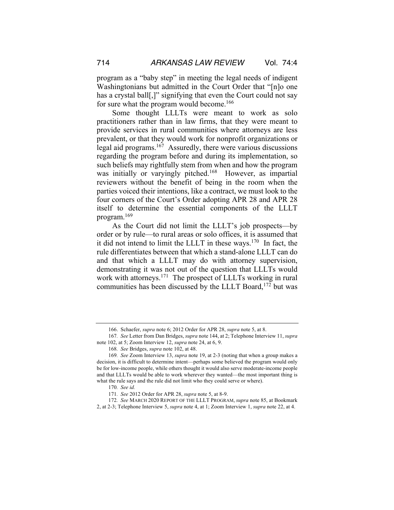program as a "baby step" in meeting the legal needs of indigent Washingtonians but admitted in the Court Order that "[n]o one has a crystal ball[,]" signifying that even the Court could not say for sure what the program would become.<sup>166</sup>

Some thought LLLTs were meant to work as solo practitioners rather than in law firms, that they were meant to provide services in rural communities where attorneys are less prevalent, or that they would work for nonprofit organizations or legal aid programs.<sup>167</sup> Assuredly, there were various discussions regarding the program before and during its implementation, so such beliefs may rightfully stem from when and how the program was initially or varyingly pitched.<sup>168</sup> However, as impartial reviewers without the benefit of being in the room when the parties voiced their intentions, like a contract, we must look to the four corners of the Court's Order adopting APR 28 and APR 28 itself to determine the essential components of the LLLT program.169

As the Court did not limit the LLLT's job prospects—by order or by rule—to rural areas or solo offices, it is assumed that it did not intend to limit the LLLT in these ways.<sup>170</sup> In fact, the rule differentiates between that which a stand-alone LLLT can do and that which a LLLT may do with attorney supervision, demonstrating it was not out of the question that LLLTs would work with attorneys.<sup>171</sup> The prospect of LLLTs working in rural communities has been discussed by the LLLT Board,<sup>172</sup> but was

<sup>166.</sup> Schaefer, *supra* note 6; 2012 Order for APR 28, *supra* note 5, at 8.

<sup>167</sup>*. See* Letter from Dan Bridges, *supra* note 144, at 2; Telephone Interview 11, *supra*  note 102, at 5; Zoom Interview 12, *supra* note 24, at 6, 9.

<sup>168</sup>*. See* Bridges, *supra* note 102, at 48.

<sup>169</sup>*. See* Zoom Interview 13, *supra* note 19, at 2-3 (noting that when a group makes a decision, it is difficult to determine intent—perhaps some believed the program would only be for low-income people, while others thought it would also serve moderate-income people and that LLLTs would be able to work wherever they wanted—the most important thing is what the rule says and the rule did not limit who they could serve or where).

<sup>170</sup>*. See id.*

<sup>171</sup>*. See* 2012 Order for APR 28, *supra* note 5, at 8-9.

<sup>172</sup>*. See* MARCH 2020 REPORT OF THE LLLT PROGRAM, *supra* note 85, at Bookmark 2, at 2-3; Telephone Interview 5, *supra* note 4, at 1; Zoom Interview 1, *supra* note 22, at 4.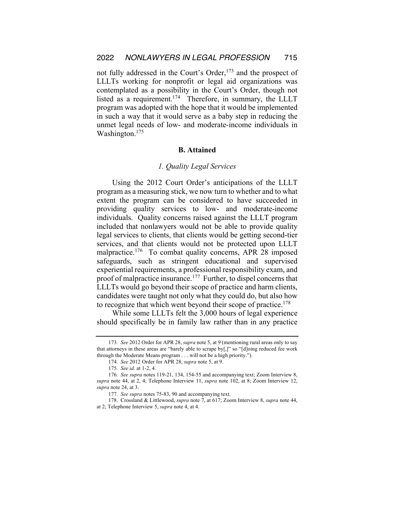not fully addressed in the Court's Order,<sup>173</sup> and the prospect of LLLTs working for nonprofit or legal aid organizations was contemplated as a possibility in the Court's Order, though not listed as a requirement.<sup>174</sup> Therefore, in summary, the LLLT program was adopted with the hope that it would be implemented in such a way that it would serve as a baby step in reducing the unmet legal needs of low- and moderate-income individuals in Washington.<sup>175</sup>

#### **B. Attained**

#### *1. Quality Legal Services*

Using the 2012 Court Order's anticipations of the LLLT program as a measuring stick, we now turn to whether and to what extent the program can be considered to have succeeded in providing quality services to low- and moderate-income individuals. Quality concerns raised against the LLLT program included that nonlawyers would not be able to provide quality legal services to clients, that clients would be getting second-tier services, and that clients would not be protected upon LLLT malpractice.<sup>176</sup> To combat quality concerns, APR 28 imposed safeguards, such as stringent educational and supervised experiential requirements, a professional responsibility exam, and proof of malpractice insurance.<sup>177</sup> Further, to dispel concerns that LLLTs would go beyond their scope of practice and harm clients, candidates were taught not only what they could do, but also how to recognize that which went beyond their scope of practice.<sup>178</sup>

While some LLLTs felt the 3,000 hours of legal experience should specifically be in family law rather than in any practice

<sup>173</sup>*. See* 2012 Order for APR 28, *supra* note 5, at 9 (mentioning rural areas only to say that attorneys in these areas are "barely able to scrape by[,]" so "[d]oing reduced fee work through the Moderate Means program . . . will not be a high priority.").

<sup>174</sup>*. See* 2012 Order for APR 28, *supra* note 5, at 9.

<sup>175</sup>*. See id.* at 1-2, 4.

<sup>176</sup>*. See supra* notes 119-21, 134, 154-55 and accompanying text; Zoom Interview 8, *supra* note 44, at 2, 4; Telephone Interview 11, *supra* note 102, at 8; Zoom Interview 12, *supra* note 24, at 3.

<sup>177</sup>*. See supra* notes 75-83, 90 and accompanying text.

<sup>178.</sup> Crossland & Littlewood, *supra* note 7, at 617; Zoom Interview 8, *supra* note 44, at 2; Telephone Interview 5, *supra* note 4, at 4.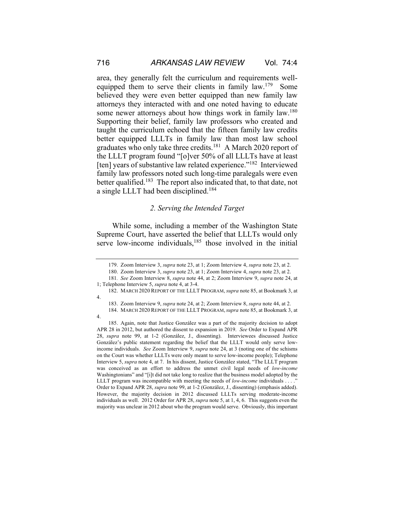area, they generally felt the curriculum and requirements wellequipped them to serve their clients in family law.<sup>179</sup> Some believed they were even better equipped than new family law attorneys they interacted with and one noted having to educate some newer attorneys about how things work in family law.<sup>180</sup> Supporting their belief, family law professors who created and taught the curriculum echoed that the fifteen family law credits better equipped LLLTs in family law than most law school graduates who only take three credits.181 A March 2020 report of the LLLT program found "[o]ver 50% of all LLLTs have at least [ten] years of substantive law related experience."<sup>182</sup> Interviewed family law professors noted such long-time paralegals were even better qualified.<sup>183</sup> The report also indicated that, to that date, not a single LLLT had been disciplined.184

#### *2. Serving the Intended Target*

While some, including a member of the Washington State Supreme Court, have asserted the belief that LLLTs would only serve low-income individuals, $185$  those involved in the initial

4.

<sup>179.</sup> Zoom Interview 3, *supra* note 23, at 1; Zoom Interview 4, *supra* note 23, at 2.

<sup>180.</sup> Zoom Interview 3, *supra* note 23, at 1; Zoom Interview 4, *supra* note 23, at 2.

<sup>181</sup>*. See* Zoom Interview 8, *supra* note 44, at 2; Zoom Interview 9, *supra* note 24, at 1; Telephone Interview 5, *supra* note 4, at 3-4.

<sup>182.</sup> MARCH 2020 REPORT OF THE LLLT PROGRAM, *supra* note 85, at Bookmark 3, at 4.

<sup>183.</sup> Zoom Interview 9, *supra* note 24, at 2; Zoom Interview 8, *supra* note 44, at 2.

<sup>184.</sup> MARCH 2020 REPORT OF THE LLLT PROGRAM, *supra* note 85, at Bookmark 3, at

<sup>185.</sup> Again, note that Justice González was a part of the majority decision to adopt APR 28 in 2012, but authored the dissent to expansion in 2019. *See* Order to Expand APR 28, *supra* note 99, at 1-2 (González, J., dissenting). Interviewees discussed Justice González's public statement regarding the belief that the LLLT would only serve lowincome individuals. *See* Zoom Interview 9, *supra* note 24, at 3 (noting one of the schisms on the Court was whether LLLTs were only meant to serve low-income people); Telephone Interview 5, *supra* note 4, at 7. In his dissent, Justice González stated, "The LLLT program was conceived as an effort to address the unmet civil legal needs of *low-income* Washingtonians" and "[i]t did not take long to realize that the business model adopted by the LLLT program was incompatible with meeting the needs of *low-income* individuals . . . ." Order to Expand APR 28, *supra* note 99, at 1-2 (González, J., dissenting) (emphasis added). However, the majority decision in 2012 discussed LLLTs serving moderate-income individuals as well. 2012 Order for APR 28, *supra* note 5, at 1, 4, 6. This suggests even the majority was unclear in 2012 about who the program would serve. Obviously, this important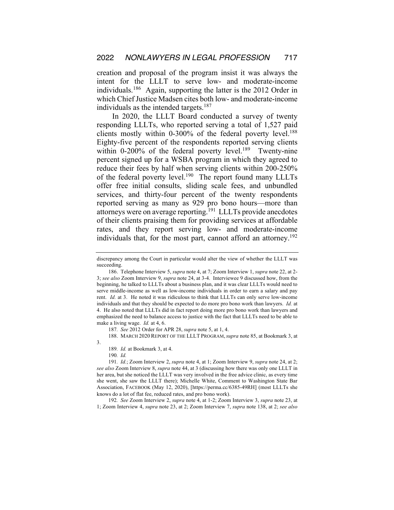creation and proposal of the program insist it was always the intent for the LLLT to serve low- and moderate-income individuals.186 Again, supporting the latter is the 2012 Order in which Chief Justice Madsen cites both low- and moderate-income individuals as the intended targets.<sup>187</sup>

In 2020, the LLLT Board conducted a survey of twenty responding LLLTs, who reported serving a total of 1,527 paid clients mostly within  $0-300\%$  of the federal poverty level.<sup>188</sup> Eighty-five percent of the respondents reported serving clients within 0-200% of the federal poverty level.<sup>189</sup> Twenty-nine percent signed up for a WSBA program in which they agreed to reduce their fees by half when serving clients within 200-250% of the federal poverty level.<sup>190</sup> The report found many LLLTs offer free initial consults, sliding scale fees, and unbundled services, and thirty-four percent of the twenty respondents reported serving as many as 929 pro bono hours—more than attorneys were on average reporting.191 LLLTs provide anecdotes of their clients praising them for providing services at affordable rates, and they report serving low- and moderate-income individuals that, for the most part, cannot afford an attorney.<sup>192</sup>

187*. See* 2012 Order for APR 28, *supra* note 5, at 1, 4.

188. MARCH 2020 REPORT OF THE LLLT PROGRAM, *supra* note 85, at Bookmark 3, at

189*. Id.* at Bookmark 3, at 4.

190*. Id.*

3.

191*. Id.*; Zoom Interview 2, *supra* note 4, at 1; Zoom Interview 9, *supra* note 24, at 2; *see also* Zoom Interview 8, *supra* note 44, at 3 (discussing how there was only one LLLT in her area, but she noticed the LLLT was very involved in the free advice clinic, as every time she went, she saw the LLLT there); Michelle White, Comment to Washington State Bar Association, FACEBOOK (May 12, 2020), [https://perma.cc/6385-49RH] (most LLLTs she knows do a lot of flat fee, reduced rates, and pro bono work).

192*. See* Zoom Interview 2, *supra* note 4, at 1-2; Zoom Interview 3, *supra* note 23, at 1; Zoom Interview 4, *supra* note 23, at 2; Zoom Interview 7, *supra* note 138, at 2; *see also*

discrepancy among the Court in particular would alter the view of whether the LLLT was succeeding.

<sup>186.</sup> Telephone Interview 5, *supra* note 4, at 7; Zoom Interview 1, *supra* note 22, at 2- 3; *see also* Zoom Interview 9, *supra* note 24, at 3-4. Interviewee 9 discussed how, from the beginning, he talked to LLLTs about a business plan, and it was clear LLLTs would need to serve middle-income as well as low-income individuals in order to earn a salary and pay rent. *Id.* at 3. He noted it was ridiculous to think that LLLTs can only serve low-income individuals and that they should be expected to do more pro bono work than lawyers. *Id.* at 4. He also noted that LLLTs did in fact report doing more pro bono work than lawyers and emphasized the need to balance access to justice with the fact that LLLTs need to be able to make a living wage. *Id.* at 4, 6.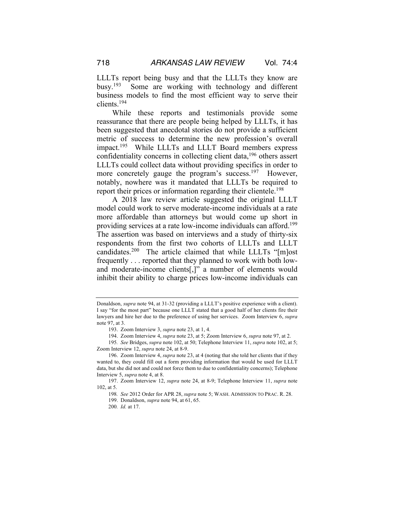LLLTs report being busy and that the LLLTs they know are busy.193 Some are working with technology and different business models to find the most efficient way to serve their clients.194

While these reports and testimonials provide some reassurance that there are people being helped by LLLTs, it has been suggested that anecdotal stories do not provide a sufficient metric of success to determine the new profession's overall impact.195 While LLLTs and LLLT Board members express confidentiality concerns in collecting client data,<sup>196</sup> others assert LLLTs could collect data without providing specifics in order to more concretely gauge the program's success.<sup>197</sup> However, notably, nowhere was it mandated that LLLTs be required to report their prices or information regarding their clientele.<sup>198</sup>

A 2018 law review article suggested the original LLLT model could work to serve moderate-income individuals at a rate more affordable than attorneys but would come up short in providing services at a rate low-income individuals can afford.199 The assertion was based on interviews and a study of thirty-six respondents from the first two cohorts of LLLTs and LLLT candidates.200 The article claimed that while LLLTs "[m]ost frequently . . . reported that they planned to work with both lowand moderate-income clients[,]" a number of elements would inhibit their ability to charge prices low-income individuals can

Donaldson, *supra* note 94, at 31-32 (providing a LLLT's positive experience with a client). I say "for the most part" because one LLLT stated that a good half of her clients fire their lawyers and hire her due to the preference of using her services. Zoom Interview 6, *supra*  note 97, at 3.

<sup>193.</sup> Zoom Interview 3, *supra* note 23, at 1, 4.

<sup>194.</sup> Zoom Interview 4, *supra* note 23, at 5; Zoom Interview 6, *supra* note 97, at 2.

<sup>195</sup>*. See* Bridges, *supra* note 102, at 50; Telephone Interview 11, *supra* note 102, at 5; Zoom Interview 12, *supra* note 24, at 8-9.

<sup>196.</sup> Zoom Interview 4, *supra* note 23, at 4 (noting that she told her clients that if they wanted to, they could fill out a form providing information that would be used for LLLT data, but she did not and could not force them to due to confidentiality concerns); Telephone Interview 5, *supra* note 4, at 8.

<sup>197.</sup> Zoom Interview 12, *supra* note 24, at 8-9; Telephone Interview 11, *supra* note 102, at 5.

<sup>198</sup>*. See* 2012 Order for APR 28, *supra* note 5; WASH. ADMISSION TO PRAC. R. 28.

<sup>199.</sup> Donaldson, *supra* note 94, at 61, 65.

<sup>200</sup>*. Id.* at 17.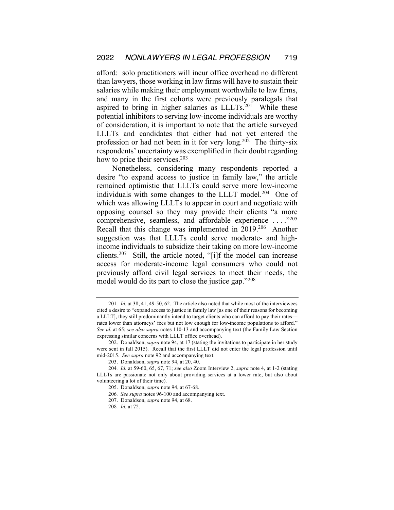afford: solo practitioners will incur office overhead no different than lawyers, those working in law firms will have to sustain their salaries while making their employment worthwhile to law firms, and many in the first cohorts were previously paralegals that aspired to bring in higher salaries as  $LLLTs.^{201}$  While these potential inhibitors to serving low-income individuals are worthy of consideration, it is important to note that the article surveyed LLLTs and candidates that either had not yet entered the profession or had not been in it for very long.<sup>202</sup> The thirty-six respondents' uncertainty was exemplified in their doubt regarding how to price their services.<sup>203</sup>

Nonetheless, considering many respondents reported a desire "to expand access to justice in family law," the article remained optimistic that LLLTs could serve more low-income individuals with some changes to the LLLT model.<sup>204</sup> One of which was allowing LLLTs to appear in court and negotiate with opposing counsel so they may provide their clients "a more comprehensive, seamless, and affordable experience . . . ."205 Recall that this change was implemented in 2019.206 Another suggestion was that LLLTs could serve moderate- and highincome individuals to subsidize their taking on more low-income clients.207 Still, the article noted, "[i]f the model can increase access for moderate-income legal consumers who could not previously afford civil legal services to meet their needs, the model would do its part to close the justice gap."208

<sup>201</sup>*. Id.* at 38, 41, 49-50, 62. The article also noted that while most of the interviewees cited a desire to "expand access to justice in family law [as one of their reasons for becoming a LLLT], they still predominantly intend to target clients who can afford to pay their rates rates lower than attorneys' fees but not low enough for low-income populations to afford." *See id.* at 65; *see also supra* notes 110-13 and accompanying text (the Family Law Section expressing similar concerns with LLLT office overhead).

<sup>202.</sup> Donaldson, *supra* note 94, at 17 (stating the invitations to participate in her study were sent in fall 2015). Recall that the first LLLT did not enter the legal profession until mid-2015. *See supra* note 92 and accompanying text.

<sup>203.</sup> Donaldson, *supra* note 94, at 20, 40.

<sup>204</sup>*. Id.* at 59-60, 65, 67, 71; *see also* Zoom Interview 2, *supra* note 4, at 1-2 (stating LLLTs are passionate not only about providing services at a lower rate, but also about volunteering a lot of their time).

<sup>205.</sup> Donaldson, *supra* note 94, at 67-68.

<sup>206</sup>*. See supra* notes 96-100 and accompanying text.

<sup>207.</sup> Donaldson, *supra* note 94, at 68.

<sup>208</sup>*. Id.* at 72.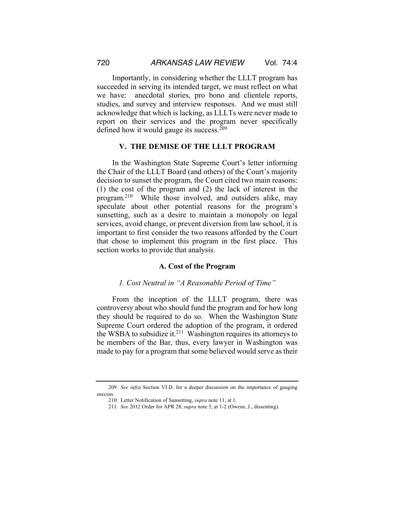Importantly, in considering whether the LLLT program has succeeded in serving its intended target, we must reflect on what we have: anecdotal stories, pro bono and clientele reports, studies, and survey and interview responses. And we must still acknowledge that which is lacking, as LLLTs were never made to report on their services and the program never specifically defined how it would gauge its success.<sup>209</sup>

#### **V. THE DEMISE OF THE LLLT PROGRAM**

In the Washington State Supreme Court's letter informing the Chair of the LLLT Board (and others) of the Court's majority decision to sunset the program, the Court cited two main reasons: (1) the cost of the program and (2) the lack of interest in the program.210 While those involved, and outsiders alike, may speculate about other potential reasons for the program's sunsetting, such as a desire to maintain a monopoly on legal services, avoid change, or prevent diversion from law school, it is important to first consider the two reasons afforded by the Court that chose to implement this program in the first place. This section works to provide that analysis.

#### **A. Cost of the Program**

# *1. Cost Neutral in "A Reasonable Period of Time"*

From the inception of the LLLT program, there was controversy about who should fund the program and for how long they should be required to do so. When the Washington State Supreme Court ordered the adoption of the program, it ordered the WSBA to subsidize it.<sup>211</sup> Washington requires its attorneys to be members of the Bar, thus, every lawyer in Washington was made to pay for a program that some believed would serve as their

<sup>209</sup>*. See infra* Section VI.D. for a deeper discussion on the importance of gauging success.

<sup>210.</sup> Letter Notification of Sunsetting, *supra* note 11, at 1.

<sup>211</sup>*. See* 2012 Order for APR 28, *supra* note 5, at 1-2 (Owens, J., dissenting).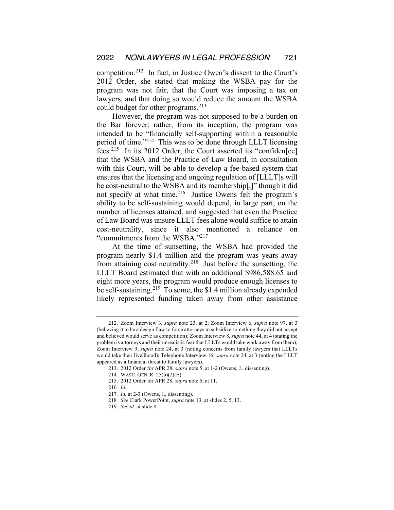competition.212 In fact, in Justice Owen's dissent to the Court's 2012 Order, she stated that making the WSBA pay for the program was not fair, that the Court was imposing a tax on lawyers, and that doing so would reduce the amount the WSBA could budget for other programs.<sup>213</sup>

However, the program was not supposed to be a burden on the Bar forever; rather, from its inception, the program was intended to be "financially self-supporting within a reasonable period of time."214 This was to be done through LLLT licensing fees.215 In its 2012 Order, the Court asserted its "confiden[ce] that the WSBA and the Practice of Law Board, in consultation with this Court, will be able to develop a fee-based system that ensures that the licensing and ongoing regulation of [LLLT]s will be cost-neutral to the WSBA and its membership[,]" though it did not specify at what time.<sup>216</sup> Justice Owens felt the program's ability to be self-sustaining would depend, in large part, on the number of licenses attained, and suggested that even the Practice of Law Board was unsure LLLT fees alone would suffice to attain cost-neutrality, since it also mentioned a reliance "commitments from the WSBA."217

At the time of sunsetting, the WSBA had provided the program nearly \$1.4 million and the program was years away from attaining cost neutrality.<sup>218</sup> Just before the sunsetting, the LLLT Board estimated that with an additional \$986,588.65 and eight more years, the program would produce enough licenses to be self-sustaining.219 To some, the \$1.4 million already expended likely represented funding taken away from other assistance

<sup>212.</sup> Zoom Interview 3, *supra* note 23, at 2; Zoom Interview 6, *supra* note 97, at 3 (believing it to be a design flaw to force attorneys to subsidize something they did not accept and believed would serve as competition); Zoom Interview 8, *supra* note 44, at 4 (stating the problem is attorneys and their unrealistic fear that LLLTs would take work away from them); Zoom Interview 9, *supra* note 24, at 3 (noting concerns from family lawyers that LLLTs would take their livelihood); Telephone Interview 16, *supra* note 24, at 3 (noting the LLLT appeared as a financial threat to family lawyers).

<sup>213.</sup> 2012 Order for APR 28, *supra* note 5, at 1-2 (Owens, J., dissenting).

<sup>214.</sup> WASH. GEN. R. 25(b)(2)(E).

<sup>215.</sup> 2012 Order for APR 28, *supra* note 5, at 11.

<sup>216</sup>*. Id.* 

<sup>217</sup>*. Id.* at 2-3 (Owens, J., dissenting).

<sup>218</sup>*. See* Clark PowerPoint, *supra* note 13, at slides 2, 5, 13.

<sup>219</sup>*. See id.* at slide 8.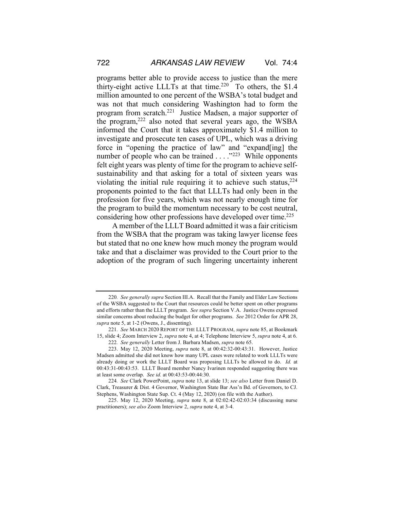programs better able to provide access to justice than the mere thirty-eight active LLLTs at that time.<sup>220</sup> To others, the \$1.4 million amounted to one percent of the WSBA's total budget and was not that much considering Washington had to form the program from scratch.221 Justice Madsen, a major supporter of the program,222 also noted that several years ago, the WSBA informed the Court that it takes approximately \$1.4 million to investigate and prosecute ten cases of UPL, which was a driving force in "opening the practice of law" and "expand[ing] the number of people who can be trained . . . .<sup>"223</sup> While opponents felt eight years was plenty of time for the program to achieve selfsustainability and that asking for a total of sixteen years was violating the initial rule requiring it to achieve such status,  $224$ proponents pointed to the fact that LLLTs had only been in the profession for five years, which was not nearly enough time for the program to build the momentum necessary to be cost neutral, considering how other professions have developed over time.<sup>225</sup>

A member of the LLLT Board admitted it was a fair criticism from the WSBA that the program was taking lawyer license fees but stated that no one knew how much money the program would take and that a disclaimer was provided to the Court prior to the adoption of the program of such lingering uncertainty inherent

<sup>220</sup>*. See generally supra* Section III.A. Recall that the Family and Elder Law Sections of the WSBA suggested to the Court that resources could be better spent on other programs and efforts rather than the LLLT program. *See supra* Section V.A. Justice Owens expressed similar concerns about reducing the budget for other programs. *See* 2012 Order for APR 28, *supra* note 5, at 1-2 (Owens, J., dissenting).

<sup>221</sup>*. See* MARCH 2020 REPORT OF THE LLLT PROGRAM, *supra* note 85, at Bookmark 15, slide 4; Zoom Interview 2, *supra* note 4, at 4; Telephone Interview 5, *supra* note 4, at 6.

<sup>222</sup>*. See generally* Letter from J. Barbara Madsen, *supra* note 65.

<sup>223.</sup> May 12, 2020 Meeting, *supra* note 8, at 00:42:32-00:43:31. However, Justice Madsen admitted she did not know how many UPL cases were related to work LLLTs were already doing or work the LLLT Board was proposing LLLTs be allowed to do. *Id.* at 00:43:31-00:43:53. LLLT Board member Nancy Ivarinen responded suggesting there was at least some overlap. *See id.* at 00:43:53-00:44:30.

<sup>224</sup>*. See* Clark PowerPoint, *supra* note 13, at slide 13; *see also* Letter from Daniel D. Clark, Treasurer & Dist. 4 Governor, Washington State Bar Ass'n Bd. of Governors, to CJ. Stephens, Washington State Sup. Ct. 4 (May 12, 2020) (on file with the Author).

<sup>225.</sup> May 12, 2020 Meeting, *supra* note 8, at 02:02:42-02:03:34 (discussing nurse practitioners); *see also* Zoom Interview 2, *supra* note 4, at 3-4.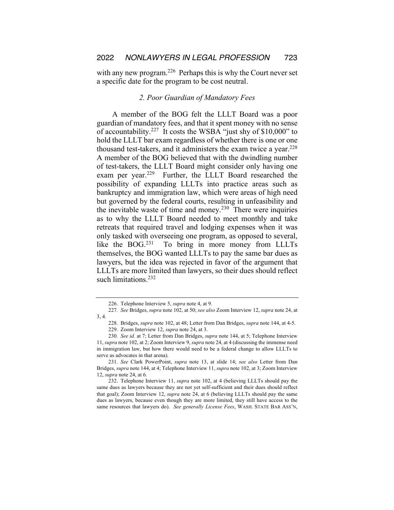with any new program.<sup>226</sup> Perhaps this is why the Court never set a specific date for the program to be cost neutral.

# *2. Poor Guardian of Mandatory Fees*

A member of the BOG felt the LLLT Board was a poor guardian of mandatory fees, and that it spent money with no sense of accountability.227 It costs the WSBA "just shy of \$10,000" to hold the LLLT bar exam regardless of whether there is one or one thousand test-takers, and it administers the exam twice a year.<sup>228</sup> A member of the BOG believed that with the dwindling number of test-takers, the LLLT Board might consider only having one exam per year.<sup>229</sup> Further, the LLLT Board researched the possibility of expanding LLLTs into practice areas such as bankruptcy and immigration law, which were areas of high need but governed by the federal courts, resulting in unfeasibility and the inevitable waste of time and money.<sup>230</sup> There were inquiries as to why the LLLT Board needed to meet monthly and take retreats that required travel and lodging expenses when it was only tasked with overseeing one program, as opposed to several, like the BOG.<sup>231</sup> To bring in more money from LLLTs themselves, the BOG wanted LLLTs to pay the same bar dues as lawyers, but the idea was rejected in favor of the argument that LLLTs are more limited than lawyers, so their dues should reflect such limitations.<sup>232</sup>

231*. See* Clark PowerPoint, *supra* note 13, at slide 14; *see also* Letter from Dan Bridges, *supra* note 144, at 4; Telephone Interview 11, *supra* note 102, at 3; Zoom Interview 12, *supra* note 24, at 6.

232. Telephone Interview 11, *supra* note 102, at 4 (believing LLLTs should pay the same dues as lawyers because they are not yet self-sufficient and their dues should reflect that goal); Zoom Interview 12, *supra* note 24, at 6 (believing LLLTs should pay the same dues as lawyers, because even though they are more limited, they still have access to the same resources that lawyers do). *See generally License Fees*, WASH. STATE BAR ASS'N,

<sup>226.</sup> Telephone Interview 5, *supra* note 4, at 9.

<sup>227</sup>*. See* Bridges, *supra* note 102, at 50; *see also* Zoom Interview 12, *supra* note 24, at 3, 4.

<sup>228.</sup> Bridges, *supra* note 102, at 48; Letter from Dan Bridges, *supra* note 144, at 4-5. 229. Zoom Interview 12, *supra* note 24, at 3.

<sup>230</sup>*. See id.* at 7; Letter from Dan Bridges, *supra* note 144, at 5; Telephone Interview 11, *supra* note 102, at 2; Zoom Interview 9, *supra* note 24, at 4 (discussing the immense need in immigration law, but how there would need to be a federal change to allow LLLTs to serve as advocates in that arena).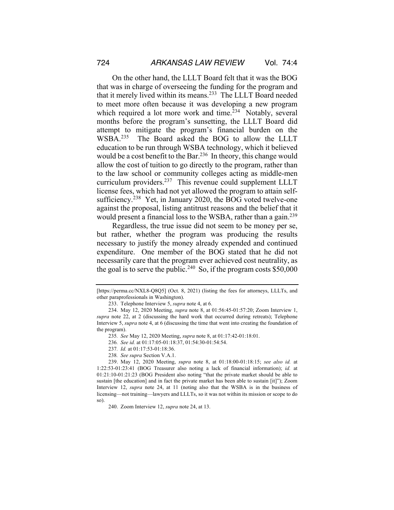On the other hand, the LLLT Board felt that it was the BOG that was in charge of overseeing the funding for the program and that it merely lived within its means.233 The LLLT Board needed to meet more often because it was developing a new program which required a lot more work and time.<sup>234</sup> Notably, several months before the program's sunsetting, the LLLT Board did attempt to mitigate the program's financial burden on the WSBA.235 The Board asked the BOG to allow the LLLT education to be run through WSBA technology, which it believed would be a cost benefit to the Bar.<sup>236</sup> In theory, this change would allow the cost of tuition to go directly to the program, rather than to the law school or community colleges acting as middle-men curriculum providers.237 This revenue could supplement LLLT license fees, which had not yet allowed the program to attain selfsufficiency.<sup>238</sup> Yet, in January 2020, the BOG voted twelve-one against the proposal, listing antitrust reasons and the belief that it would present a financial loss to the WSBA, rather than a gain.<sup>239</sup>

Regardless, the true issue did not seem to be money per se, but rather, whether the program was producing the results necessary to justify the money already expended and continued expenditure. One member of the BOG stated that he did not necessarily care that the program ever achieved cost neutrality, as the goal is to serve the public.<sup>240</sup> So, if the program costs  $$50,000$ 

<sup>[</sup>https://perma.cc/NXL8-Q8Q5] (Oct. 8, 2021) (listing the fees for attorneys, LLLTs, and other paraprofessionals in Washington).

<sup>233.</sup> Telephone Interview 5, *supra* note 4, at 6.

<sup>234.</sup> May 12, 2020 Meeting, *supra* note 8, at 01:56:45-01:57:20; Zoom Interview 1, *supra* note 22, at 2 (discussing the hard work that occurred during retreats); Telephone Interview 5, *supra* note 4, at 6 (discussing the time that went into creating the foundation of the program).

<sup>235</sup>*. See* May 12, 2020 Meeting, *supra* note 8, at 01:17:42-01:18:01.

<sup>236</sup>*. See id.* at 01:17:05-01:18:37, 01:54:30-01:54:54.

<sup>237</sup>*. Id.* at 01:17:53-01:18:36.

<sup>238</sup>*. See supra* Section V.A.1.

<sup>239.</sup> May 12, 2020 Meeting, *supra* note 8, at 01:18:00-01:18:15; *see also id.* at 1:22:53-01:23:41 (BOG Treasurer also noting a lack of financial information); *id.* at 01:21:10-01:21:23 (BOG President also noting "that the private market should be able to sustain [the education] and in fact the private market has been able to sustain [it]"); Zoom Interview 12, *supra* note 24, at 11 (noting also that the WSBA is in the business of licensing—not training—lawyers and LLLTs, so it was not within its mission or scope to do so).

<sup>240.</sup> Zoom Interview 12, *supra* note 24, at 13.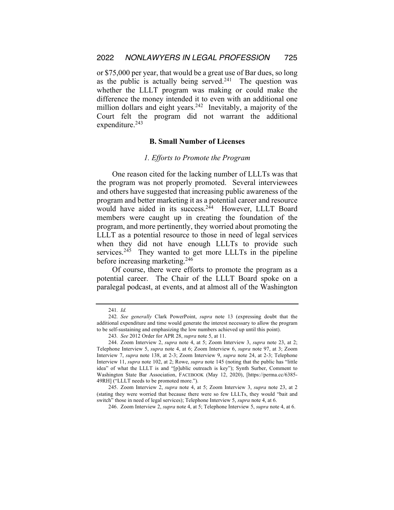or \$75,000 per year, that would be a great use of Bar dues, so long as the public is actually being served.<sup>241</sup> The question was whether the LLLT program was making or could make the difference the money intended it to even with an additional one million dollars and eight years.<sup>242</sup> Inevitably, a majority of the Court felt the program did not warrant the additional expenditure.<sup>243</sup>

#### **B. Small Number of Licenses**

#### *1. Efforts to Promote the Program*

One reason cited for the lacking number of LLLTs was that the program was not properly promoted. Several interviewees and others have suggested that increasing public awareness of the program and better marketing it as a potential career and resource would have aided in its success.<sup>244</sup> However, LLLT Board members were caught up in creating the foundation of the program, and more pertinently, they worried about promoting the LLLT as a potential resource to those in need of legal services when they did not have enough LLLTs to provide such services.<sup>245</sup> They wanted to get more LLLTs in the pipeline before increasing marketing.246

Of course, there were efforts to promote the program as a potential career. The Chair of the LLLT Board spoke on a paralegal podcast, at events, and at almost all of the Washington

<sup>241</sup>*. Id.*

<sup>242</sup>*. See generally* Clark PowerPoint, *supra* note 13 (expressing doubt that the additional expenditure and time would generate the interest necessary to allow the program to be self-sustaining and emphasizing the low numbers achieved up until this point).

<sup>243</sup>*. See* 2012 Order for APR 28, *supra* note 5, at 11.

<sup>244.</sup> Zoom Interview 2, *supra* note 4, at 5; Zoom Interview 3, *supra* note 23, at 2; Telephone Interview 5, *supra* note 4, at 6; Zoom Interview 6, *supra* note 97, at 3; Zoom Interview 7, *supra* note 138, at 2-3; Zoom Interview 9, *supra* note 24, at 2-3; Telephone Interview 11, *supra* note 102, at 2; Rowe, *supra* note 145 (noting that the public has "little idea" of what the LLLT is and "[p]ublic outreach is key"); Synth Surber, Comment to Washington State Bar Association, FACEBOOK (May 12, 2020), [https://perma.cc/6385- 49RH] ("LLLT needs to be promoted more.").

<sup>245.</sup> Zoom Interview 2, *supra* note 4, at 5; Zoom Interview 3, *supra* note 23, at 2 (stating they were worried that because there were so few LLLTs, they would "bait and switch" those in need of legal services); Telephone Interview 5, *supra* note 4, at 6.

<sup>246.</sup> Zoom Interview 2, *supra* note 4, at 5; Telephone Interview 5, *supra* note 4, at 6.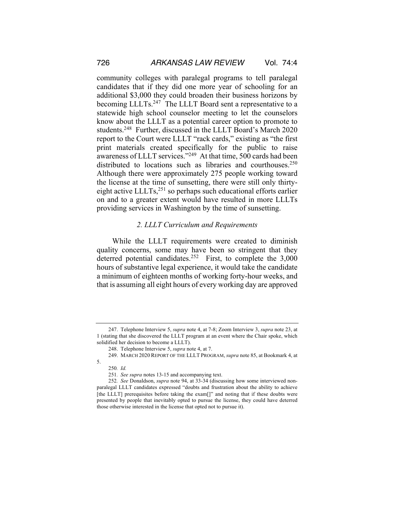community colleges with paralegal programs to tell paralegal candidates that if they did one more year of schooling for an additional \$3,000 they could broaden their business horizons by becoming LLLTs.<sup>247</sup> The LLLT Board sent a representative to a statewide high school counselor meeting to let the counselors know about the LLLT as a potential career option to promote to students.<sup>248</sup> Further, discussed in the LLLT Board's March 2020 report to the Court were LLLT "rack cards," existing as "the first print materials created specifically for the public to raise awareness of LLLT services."249 At that time, 500 cards had been distributed to locations such as libraries and courthouses.<sup>250</sup> Although there were approximately 275 people working toward the license at the time of sunsetting, there were still only thirtyeight active LLLTs,<sup>251</sup> so perhaps such educational efforts earlier on and to a greater extent would have resulted in more LLLTs providing services in Washington by the time of sunsetting.

# *2. LLLT Curriculum and Requirements*

While the LLLT requirements were created to diminish quality concerns, some may have been so stringent that they deterred potential candidates.<sup>252</sup> First, to complete the 3,000 hours of substantive legal experience, it would take the candidate a minimum of eighteen months of working forty-hour weeks, and that is assuming all eight hours of every working day are approved

5.

<sup>247.</sup> Telephone Interview 5, *supra* note 4, at 7-8; Zoom Interview 3, *supra* note 23, at 1 (stating that she discovered the LLLT program at an event where the Chair spoke, which solidified her decision to become a LLLT).

<sup>248.</sup> Telephone Interview 5, *supra* note 4, at 7.

<sup>249.</sup> MARCH 2020 REPORT OF THE LLLT PROGRAM, *supra* note 85, at Bookmark 4, at

<sup>250</sup>*. Id.*

<sup>251</sup>*. See supra* notes 13-15 and accompanying text.

<sup>252</sup>*. See* Donaldson, *supra* note 94, at 33-34 (discussing how some interviewed nonparalegal LLLT candidates expressed "doubts and frustration about the ability to achieve [the LLLT] prerequisites before taking the exam[]" and noting that if these doubts were presented by people that inevitably opted to pursue the license, they could have deterred those otherwise interested in the license that opted not to pursue it).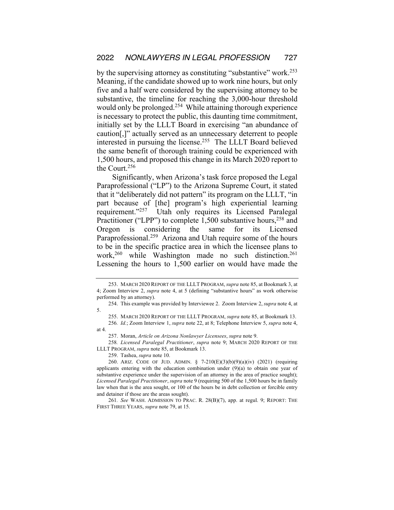by the supervising attorney as constituting "substantive" work.253 Meaning, if the candidate showed up to work nine hours, but only five and a half were considered by the supervising attorney to be substantive, the timeline for reaching the 3,000-hour threshold would only be prolonged.<sup>254</sup> While attaining thorough experience is necessary to protect the public, this daunting time commitment, initially set by the LLLT Board in exercising "an abundance of caution[,]" actually served as an unnecessary deterrent to people interested in pursuing the license.255 The LLLT Board believed the same benefit of thorough training could be experienced with 1,500 hours, and proposed this change in its March 2020 report to the Court.256

Significantly, when Arizona's task force proposed the Legal Paraprofessional ("LP") to the Arizona Supreme Court, it stated that it "deliberately did not pattern" its program on the LLLT, "in part because of [the] program's high experiential learning requirement."257 Utah only requires its Licensed Paralegal Practitioner ("LPP") to complete 1,500 substantive hours,<sup>258</sup> and Oregon is considering the same for its Licensed Paraprofessional.<sup>259</sup> Arizona and Utah require some of the hours to be in the specific practice area in which the licensee plans to work,<sup>260</sup> while Washington made no such distinction.<sup>261</sup> Lessening the hours to 1,500 earlier on would have made the

259. Tashea, *supra* note 10.

261*. See* WASH. ADMISSION TO PRAC. R. 28(B)(7), app. at regul. 9; REPORT: THE FIRST THREE YEARS, *supra* note 79, at 15.

<sup>253.</sup> MARCH 2020 REPORT OF THE LLLT PROGRAM, *supra* note 85, at Bookmark 3, at 4; Zoom Interview 2, *supra* note 4, at 5 (defining "substantive hours" as work otherwise performed by an attorney).

<sup>254.</sup> This example was provided by Interviewee 2. Zoom Interview 2, *supra* note 4, at 5.

<sup>255.</sup> MARCH 2020 REPORT OF THE LLLT PROGRAM, *supra* note 85, at Bookmark 13.

<sup>256</sup>*. Id.*; Zoom Interview 1, *supra* note 22, at 8; Telephone Interview 5, *supra* note 4, at 4.

<sup>257.</sup> Moran, *Article on Arizona Nonlawyer Licensees*, *supra* note 9.

<sup>258</sup>*. Licensed Paralegal Practitioner*, *supra* note 9; MARCH 2020 REPORT OF THE LLLT PROGRAM, *supra* note 85, at Bookmark 13.

<sup>260.</sup> ARIZ. CODE OF JUD. ADMIN. § 7-210(E)(3)(b)(9)(a)(iv) (2021) (requiring applicants entering with the education combination under  $(9)(a)$  to obtain one year of substantive experience under the supervision of an attorney in the area of practice sought); *Licensed Paralegal Practitioner*, *supra* note 9 (requiring 500 of the 1,500 hours be in family law when that is the area sought, or 100 of the hours be in debt collection or forcible entry and detainer if those are the areas sought).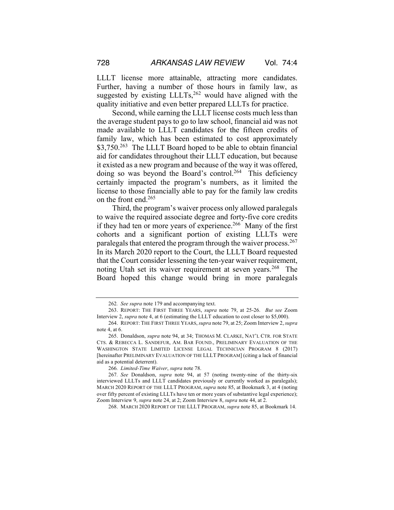LLLT license more attainable, attracting more candidates. Further, having a number of those hours in family law, as suggested by existing LLLTs,<sup>262</sup> would have aligned with the quality initiative and even better prepared LLLTs for practice.

Second, while earning the LLLT license costs much less than the average student pays to go to law school, financial aid was not made available to LLLT candidates for the fifteen credits of family law, which has been estimated to cost approximately \$3,750.<sup>263</sup> The LLLT Board hoped to be able to obtain financial aid for candidates throughout their LLLT education, but because it existed as a new program and because of the way it was offered, doing so was beyond the Board's control.<sup>264</sup> This deficiency certainly impacted the program's numbers, as it limited the license to those financially able to pay for the family law credits on the front end.265

Third, the program's waiver process only allowed paralegals to waive the required associate degree and forty-five core credits if they had ten or more years of experience.<sup>266</sup> Many of the first cohorts and a significant portion of existing LLLTs were paralegals that entered the program through the waiver process.267 In its March 2020 report to the Court, the LLLT Board requested that the Court consider lessening the ten-year waiver requirement, noting Utah set its waiver requirement at seven years.<sup>268</sup> The Board hoped this change would bring in more paralegals

266*. Limited-Time Waiver*, *supra* note 78.

268. MARCH 2020 REPORT OF THE LLLT PROGRAM, *supra* note 85, at Bookmark 14.

<sup>262</sup>*. See supra* note 179 and accompanying text.

<sup>263.</sup> REPORT: THE FIRST THREE YEARS, *supra* note 79, at 25-26. *But see* Zoom Interview 2, *supra* note 4, at 6 (estimating the LLLT education to cost closer to \$5,000).

<sup>264.</sup> REPORT: THE FIRST THREE YEARS, *supra* note 79, at 25; Zoom Interview 2, *supra* note 4, at 6.

<sup>265.</sup> Donaldson, *supra* note 94, at 34; THOMAS M. CLARKE, NAT'L CTR. FOR STATE CTS. & REBECCA L. SANDEFUR, AM. BAR FOUND., PRELIMINARY EVALUATION OF THE WASHINGTON STATE LIMITED LICENSE LEGAL TECHNICIAN PROGRAM 8 (2017) [hereinafter PRELIMINARY EVALUATION OF THE LLLT PROGRAM] (citing a lack of financial aid as a potential deterrent).

<sup>267</sup>*. See* Donaldson, *supra* note 94, at 57 (noting twenty-nine of the thirty-six interviewed LLLTs and LLLT candidates previously or currently worked as paralegals); MARCH 2020 REPORT OF THE LLLT PROGRAM, *supra* note 85, at Bookmark 3, at 4 (noting over fifty percent of existing LLLTs have ten or more years of substantive legal experience); Zoom Interview 9, *supra* note 24, at 2; Zoom Interview 8, *supra* note 44, at 2.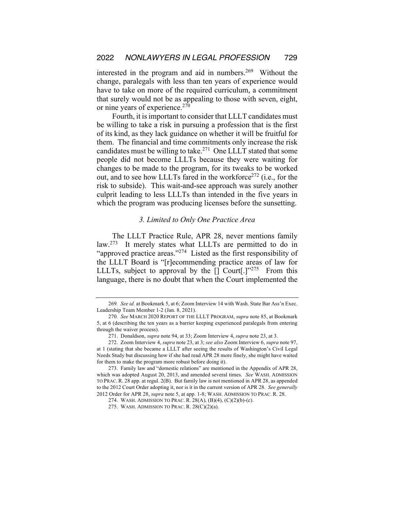interested in the program and aid in numbers.<sup>269</sup> Without the change, paralegals with less than ten years of experience would have to take on more of the required curriculum, a commitment that surely would not be as appealing to those with seven, eight, or nine years of experience.<sup>270</sup>

Fourth, it is important to consider that LLLT candidates must be willing to take a risk in pursuing a profession that is the first of its kind, as they lack guidance on whether it will be fruitful for them. The financial and time commitments only increase the risk candidates must be willing to take.271 One LLLT stated that some people did not become LLLTs because they were waiting for changes to be made to the program, for its tweaks to be worked out, and to see how LLLTs fared in the workforce<sup>272</sup> (i.e., for the risk to subside). This wait-and-see approach was surely another culprit leading to less LLLTs than intended in the five years in which the program was producing licenses before the sunsetting.

# *3. Limited to Only One Practice Area*

The LLLT Practice Rule, APR 28, never mentions family law.<sup>273</sup> It merely states what LLLTs are permitted to do in "approved practice areas." $274$  Listed as the first responsibility of the LLLT Board is "[r]ecommending practice areas of law for LLLTs, subject to approval by the  $\lceil \cdot \rceil$  Court $\lceil \cdot \rceil^{3275}$  From this language, there is no doubt that when the Court implemented the

<sup>269</sup>*. See id.* at Bookmark 5, at 6; Zoom Interview 14 with Wash. State Bar Ass'n Exec. Leadership Team Member 1-2 (Jan. 8, 2021).

<sup>270</sup>*. See* MARCH 2020 REPORT OF THE LLLT PROGRAM, *supra* note 85, at Bookmark 5, at 6 (describing the ten years as a barrier keeping experienced paralegals from entering through the waiver process).

<sup>271.</sup> Donaldson, *supra* note 94, at 33; Zoom Interview 4, *supra* note 23, at 3.

<sup>272.</sup> Zoom Interview 4, *supra* note 23, at 3; *see also* Zoom Interview 6, *supra* note 97, at 1 (stating that she became a LLLT after seeing the results of Washington's Civil Legal Needs Study but discussing how if she had read APR 28 more finely, she might have waited for them to make the program more robust before doing it).

<sup>273.</sup> Family law and "domestic relations" are mentioned in the Appendix of APR 28, which was adopted August 20, 2013, and amended several times. *See* WASH. ADMISSION TO PRAC. R. 28 app. at regul. 2(B). But family law is not mentioned in APR 28, as appended to the 2012 Court Order adopting it, nor is it in the current version of APR 28. *See generally*  2012 Order for APR 28, *supra* note 5, at app. 1-8; WASH. ADMISSION TO PRAC. R. 28.

<sup>274.</sup> WASH. ADMISSION TO PRAC. R. 28(A), (B)(4), (C)(2)(b)-(c).

<sup>275.</sup> WASH. ADMISSION TO PRAC. R. 28(C)(2)(a).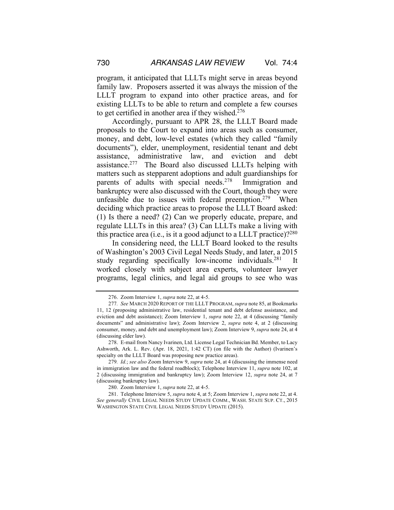program, it anticipated that LLLTs might serve in areas beyond family law. Proposers asserted it was always the mission of the LLLT program to expand into other practice areas, and for existing LLLTs to be able to return and complete a few courses to get certified in another area if they wished.276

Accordingly, pursuant to APR 28, the LLLT Board made proposals to the Court to expand into areas such as consumer, money, and debt, low-level estates (which they called "family documents"), elder, unemployment, residential tenant and debt assistance, administrative law, and eviction and debt assistance.277 The Board also discussed LLLTs helping with matters such as stepparent adoptions and adult guardianships for parents of adults with special needs.278 Immigration and bankruptcy were also discussed with the Court, though they were unfeasible due to issues with federal preemption.<sup>279</sup> When deciding which practice areas to propose the LLLT Board asked: (1) Is there a need? (2) Can we properly educate, prepare, and regulate LLLTs in this area? (3) Can LLLTs make a living with this practice area (i.e., is it a good adjunct to a LLLT practice).  $2^{280}$ 

In considering need, the LLLT Board looked to the results of Washington's 2003 Civil Legal Needs Study, and later, a 2015 study regarding specifically low-income individuals.<sup>281</sup> It worked closely with subject area experts, volunteer lawyer programs, legal clinics, and legal aid groups to see who was

<sup>276.</sup> Zoom Interview 1, *supra* note 22, at 4-5.

<sup>277</sup>*. See* MARCH 2020 REPORT OF THE LLLT PROGRAM, *supra* note 85, at Bookmarks 11, 12 (proposing administrative law, residential tenant and debt defense assistance, and eviction and debt assistance); Zoom Interview 1, *supra* note 22, at 4 (discussing "family documents" and administrative law); Zoom Interview 2, *supra* note 4, at 2 (discussing consumer, money, and debt and unemployment law); Zoom Interview 9, *supra* note 24, at 4 (discussing elder law).

<sup>278.</sup> E-mail from Nancy Ivarinen, Ltd. License Legal Technician Bd. Member, to Lacy Ashworth, Ark. L. Rev. (Apr. 18, 2021, 1:42 CT) (on file with the Author) (Ivarinen's specialty on the LLLT Board was proposing new practice areas).

<sup>279</sup>*. Id.*; *see also* Zoom Interview 9, *supra* note 24, at 4 (discussing the immense need in immigration law and the federal roadblock); Telephone Interview 11, *supra* note 102, at 2 (discussing immigration and bankruptcy law); Zoom Interview 12, *supra* note 24, at 7 (discussing bankruptcy law).

<sup>280.</sup> Zoom Interview 1, *supra* note 22, at 4-5.

<sup>281.</sup> Telephone Interview 5, *supra* note 4, at 5; Zoom Interview 1, *supra* note 22, at 4. *See generally* CIVIL LEGAL NEEDS STUDY UPDATE COMM., WASH. STATE SUP. CT., 2015 WASHINGTON STATE CIVIL LEGAL NEEDS STUDY UPDATE (2015).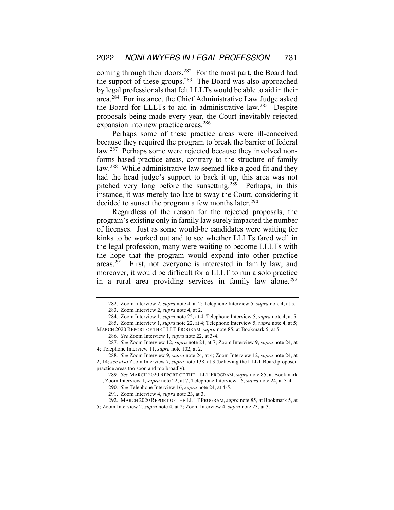coming through their doors.<sup>282</sup> For the most part, the Board had the support of these groups.283 The Board was also approached by legal professionals that felt LLLTs would be able to aid in their area.<sup>284</sup> For instance, the Chief Administrative Law Judge asked the Board for LLLTs to aid in administrative law.285 Despite proposals being made every year, the Court inevitably rejected expansion into new practice areas.<sup>286</sup>

Perhaps some of these practice areas were ill-conceived because they required the program to break the barrier of federal law.<sup>287</sup> Perhaps some were rejected because they involved nonforms-based practice areas, contrary to the structure of family law.288 While administrative law seemed like a good fit and they had the head judge's support to back it up, this area was not pitched very long before the sunsetting.289 Perhaps, in this instance, it was merely too late to sway the Court, considering it decided to sunset the program a few months later.<sup>290</sup>

Regardless of the reason for the rejected proposals, the program's existing only in family law surely impacted the number of licenses. Just as some would-be candidates were waiting for kinks to be worked out and to see whether LLLTs fared well in the legal profession, many were waiting to become LLLTs with the hope that the program would expand into other practice areas.291 First, not everyone is interested in family law, and moreover, it would be difficult for a LLLT to run a solo practice in a rural area providing services in family law alone.<sup>292</sup>

<sup>282.</sup> Zoom Interview 2, *supra* note 4, at 2; Telephone Interview 5, *supra* note 4, at 5. 283. Zoom Interview 2, *supra* note 4, at 2.

<sup>284.</sup> Zoom Interview 1, *supra* note 22, at 4; Telephone Interview 5, *supra* note 4, at 5. 285. Zoom Interview 1, *supra* note 22, at 4; Telephone Interview 5, *supra* note 4, at 5; MARCH 2020 REPORT OF THE LLLT PROGRAM, *supra* note 85, at Bookmark 5, at 5.

<sup>286</sup>*. See* Zoom Interview 1, *supra* note 22, at 3-4.

<sup>287</sup>*. See* Zoom Interview 12, *supra* note 24, at 7; Zoom Interview 9, *supra* note 24, at 4; Telephone Interview 11, *supra* note 102, at 2.

<sup>288</sup>*. See* Zoom Interview 9, *supra* note 24, at 4; Zoom Interview 12, *supra* note 24, at 2, 14; *see also* Zoom Interview 7, *supra* note 138, at 3 (believing the LLLT Board proposed practice areas too soon and too broadly).

<sup>289</sup>*. See* MARCH 2020 REPORT OF THE LLLT PROGRAM, *supra* note 85, at Bookmark 11; Zoom Interview 1, *supra* note 22, at 7; Telephone Interview 16, *supra* note 24, at 3-4.

<sup>290</sup>*. See* Telephone Interview 16, *supra* note 24, at 4-5.

<sup>291.</sup> Zoom Interview 4, *supra* note 23, at 3.

<sup>292.</sup> MARCH 2020 REPORT OF THE LLLT PROGRAM, *supra* note 85, at Bookmark 5, at 5; Zoom Interview 2, *supra* note 4, at 2; Zoom Interview 4, *supra* note 23, at 3.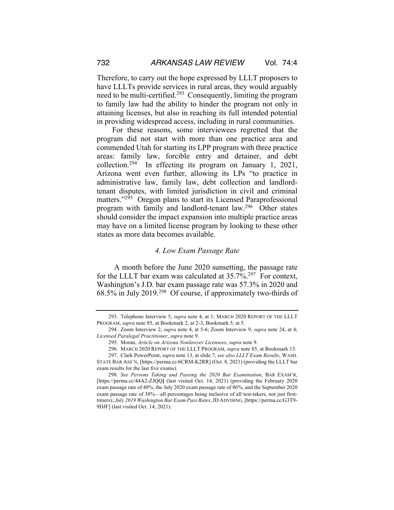Therefore, to carry out the hope expressed by LLLT proposers to have LLLTs provide services in rural areas, they would arguably need to be multi-certified.293 Consequently, limiting the program to family law had the ability to hinder the program not only in attaining licenses, but also in reaching its full intended potential in providing widespread access, including in rural communities.

For these reasons, some interviewees regretted that the program did not start with more than one practice area and commended Utah for starting its LPP program with three practice areas: family law, forcible entry and detainer, and debt collection.294 In effecting its program on January 1, 2021, Arizona went even further, allowing its LPs "to practice in administrative law, family law, debt collection and landlordtenant disputes, with limited jurisdiction in civil and criminal matters."<sup>295</sup> Oregon plans to start its Licensed Paraprofessional program with family and landlord-tenant law.296 Other states should consider the impact expansion into multiple practice areas may have on a limited license program by looking to these other states as more data becomes available.

#### *4. Low Exam Passage Rate*

A month before the June 2020 sunsetting, the passage rate for the LLLT bar exam was calculated at  $35.7\%$ <sup>297</sup> For context, Washington's J.D. bar exam passage rate was 57.3% in 2020 and 68.5% in July 2019.298 Of course, if approximately two-thirds of

296. MARCH 2020 REPORT OF THE LLLT PROGRAM, *supra* note 85, at Bookmark 13.

<sup>293.</sup> Telephone Interview 5, *supra* note 4, at 1; MARCH 2020 REPORT OF THE LLLT PROGRAM, *supra* note 85, at Bookmark 2, at 2-3, Bookmark 5, at 5.

<sup>294.</sup> Zoom Interview 2, *supra* note 4, at 5-6; Zoom Interview 9, *supra* note 24, at 4; *Licensed Paralegal Practitioner*, *supra* note 9.

<sup>295.</sup> Moran, *Article on Arizona Nonlawyer Licensees*, *supra* note 9.

<sup>297.</sup> Clark PowerPoint, *supra* note 13, at slide 7; *see also LLLT Exam Results*, WASH. STATE BAR ASS'N, [https://perma.cc/6CRM-K2RR] (Oct. 8, 2021) (providing the LLLT bar exam results for the last five exams).

<sup>298</sup>*. See Persons Taking and Passing the 2020 Bar Examination*, BAR EXAM'R, [https://perma.cc/44A2-ZJQQ**]** (last visited Oct. 14, 2021) (providing the February 2020 exam passage rate of 48%, the July 2020 exam passage rate of 86%, and the September 2020 exam passage rate of 38%—all percentages being inclusive of all test-takers, not just firsttimers); *July 2019 Washington Bar Exam Pass Rates*,JD ADVISING, [https://perma.cc/G3T9- 9DJF] (last visited Oct. 14, 2021).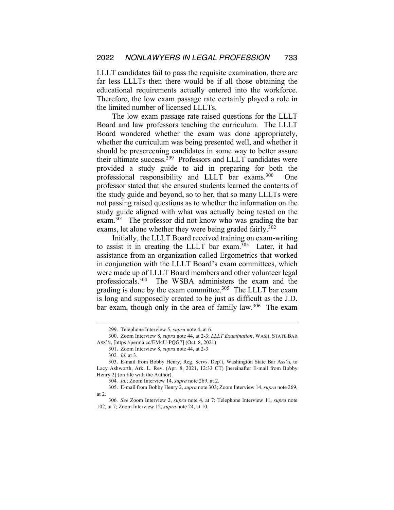LLLT candidates fail to pass the requisite examination, there are far less LLLTs then there would be if all those obtaining the educational requirements actually entered into the workforce. Therefore, the low exam passage rate certainly played a role in the limited number of licensed LLLTs.

The low exam passage rate raised questions for the LLLT Board and law professors teaching the curriculum. The LLLT Board wondered whether the exam was done appropriately, whether the curriculum was being presented well, and whether it should be prescreening candidates in some way to better assure their ultimate success. $299$  Professors and LLLT candidates were provided a study guide to aid in preparing for both the professional responsibility and LLLT bar exams.<sup>300</sup> One professor stated that she ensured students learned the contents of the study guide and beyond, so to her, that so many LLLTs were not passing raised questions as to whether the information on the study guide aligned with what was actually being tested on the exam.301 The professor did not know who was grading the bar exams, let alone whether they were being graded fairly.<sup>302</sup>

Initially, the LLLT Board received training on exam-writing to assist it in creating the LLLT bar exam.303 Later, it had assistance from an organization called Ergometrics that worked in conjunction with the LLLT Board's exam committees, which were made up of LLLT Board members and other volunteer legal professionals.304 The WSBA administers the exam and the grading is done by the exam committee. $305$  The LLLT bar exam is long and supposedly created to be just as difficult as the J.D. bar exam, though only in the area of family law.<sup>306</sup> The exam

<sup>299.</sup> Telephone Interview 5, *supra* note 4, at 6.

<sup>300.</sup> Zoom Interview 8, *supra* note 44, at 2-3; *LLLT Examination*, WASH. STATE BAR ASS'N, [https://perma.cc/EM4U-PQG7] (Oct. 8, 2021).

<sup>301.</sup> Zoom Interview 8, *supra* note 44, at 2-3

<sup>302</sup>*. Id.* at 3.

<sup>303.</sup> E-mail from Bobby Henry, Reg. Servs. Dep't, Washington State Bar Ass'n, to Lacy Ashworth, Ark. L. Rev. (Apr. 8, 2021, 12:33 CT) [hereinafter E-mail from Bobby Henry 2] (on file with the Author).

<sup>304</sup>*. Id.*; Zoom Interview 14, *supra* note 269, at 2.

<sup>305.</sup> E-mail from Bobby Henry 2, *supra* note 303; Zoom Interview 14, *supra* note 269, at 2.

<sup>306</sup>*. See* Zoom Interview 2, *supra* note 4, at 7; Telephone Interview 11, *supra* note 102, at 7; Zoom Interview 12, *supra* note 24, at 10.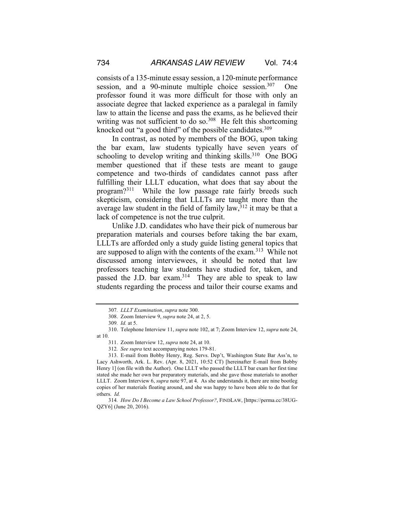consists of a 135-minute essay session, a 120-minute performance session, and a 90-minute multiple choice session.<sup>307</sup> One professor found it was more difficult for those with only an associate degree that lacked experience as a paralegal in family law to attain the license and pass the exams, as he believed their writing was not sufficient to do so. $308$  He felt this shortcoming knocked out "a good third" of the possible candidates.<sup>309</sup>

In contrast, as noted by members of the BOG, upon taking the bar exam, law students typically have seven years of schooling to develop writing and thinking skills.<sup>310</sup> One BOG member questioned that if these tests are meant to gauge competence and two-thirds of candidates cannot pass after fulfilling their LLLT education, what does that say about the program?311 While the low passage rate fairly breeds such skepticism, considering that LLLTs are taught more than the average law student in the field of family law,  $3^{12}$  it may be that a lack of competence is not the true culprit.

Unlike J.D. candidates who have their pick of numerous bar preparation materials and courses before taking the bar exam, LLLTs are afforded only a study guide listing general topics that are supposed to align with the contents of the exam.313 While not discussed among interviewees, it should be noted that law professors teaching law students have studied for, taken, and passed the J.D. bar exam.<sup>314</sup> They are able to speak to law students regarding the process and tailor their course exams and

<sup>307</sup>*. LLLT Examination*, *supra* note 300.

<sup>308.</sup> Zoom Interview 9, *supra* note 24, at 2, 5.

<sup>309</sup>*. Id.* at 5.

<sup>310.</sup> Telephone Interview 11, *supra* note 102, at 7; Zoom Interview 12, *supra* note 24, at 10.

<sup>311.</sup> Zoom Interview 12, *supra* note 24, at 10.

<sup>312</sup>*. See supra* text accompanying notes 179-81.

<sup>313.</sup> E-mail from Bobby Henry, Reg. Servs. Dep't, Washington State Bar Ass'n, to Lacy Ashworth, Ark. L. Rev. (Apr. 8, 2021, 10:52 CT) [hereinafter E-mail from Bobby Henry 1] (on file with the Author). One LLLT who passed the LLLT bar exam her first time stated she made her own bar preparatory materials, and she gave those materials to another LLLT. Zoom Interview 6, *supra* note 97, at 4. As she understands it, there are nine bootleg copies of her materials floating around, and she was happy to have been able to do that for others. *Id.*

<sup>314</sup>*. How Do I Become a Law School Professor?*, FINDLAW, [https://perma.cc/38UG-QZY6] (June 20, 2016).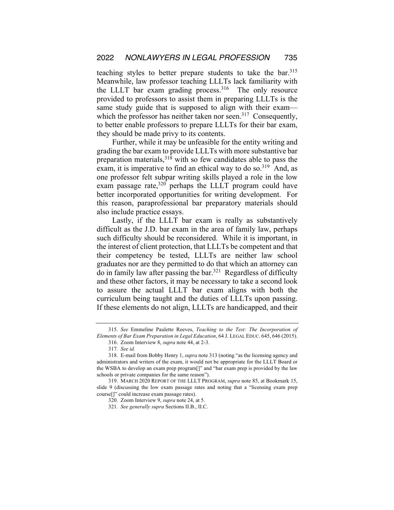teaching styles to better prepare students to take the bar.315 Meanwhile, law professor teaching LLLTs lack familiarity with the LLLT bar exam grading process. The only resource provided to professors to assist them in preparing LLLTs is the same study guide that is supposed to align with their exam which the professor has neither taken nor seen.<sup>317</sup> Consequently, to better enable professors to prepare LLLTs for their bar exam, they should be made privy to its contents.

Further, while it may be unfeasible for the entity writing and grading the bar exam to provide LLLTs with more substantive bar preparation materials,318 with so few candidates able to pass the exam, it is imperative to find an ethical way to do so.<sup>319</sup> And, as one professor felt subpar writing skills played a role in the low exam passage rate, $320$  perhaps the LLLT program could have better incorporated opportunities for writing development. For this reason, paraprofessional bar preparatory materials should also include practice essays.

Lastly, if the LLLT bar exam is really as substantively difficult as the J.D. bar exam in the area of family law, perhaps such difficulty should be reconsidered. While it is important, in the interest of client protection, that LLLTs be competent and that their competency be tested, LLLTs are neither law school graduates nor are they permitted to do that which an attorney can do in family law after passing the bar.<sup>321</sup> Regardless of difficulty and these other factors, it may be necessary to take a second look to assure the actual LLLT bar exam aligns with both the curriculum being taught and the duties of LLLTs upon passing. If these elements do not align, LLLTs are handicapped, and their

<sup>315</sup>*. See* Emmeline Paulette Reeves, *Teaching to the Test: The Incorporation of Elements of Bar Exam Preparation in Legal Education*, 64 J. LEGAL EDUC. 645, 646 (2015).

<sup>316.</sup> Zoom Interview 8, *supra* note 44, at 2-3.

<sup>317</sup>*. See id.*

<sup>318.</sup> E-mail from Bobby Henry 1, *supra* note 313 (noting "as the licensing agency and administrators and writers of the exam, it would not be appropriate for the LLLT Board or the WSBA to develop an exam prep program[]" and "bar exam prep is provided by the law schools or private companies for the same reason").

<sup>319.</sup> MARCH 2020 REPORT OF THE LLLT PROGRAM, *supra* note 85, at Bookmark 15, slide 9 (discussing the low exam passage rates and noting that a "licensing exam prep course[]" could increase exam passage rates).

<sup>320.</sup> Zoom Interview 9, *supra* note 24, at 5.

<sup>321</sup>*. See generally supra* Sections II.B., II.C.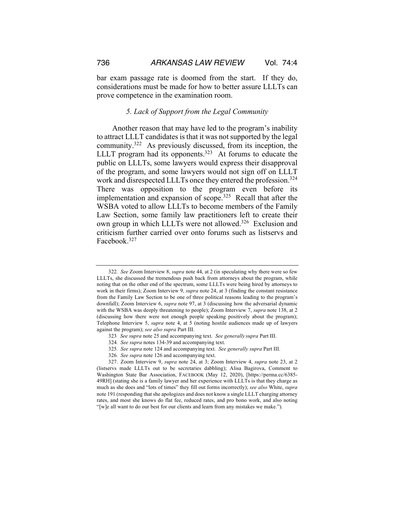bar exam passage rate is doomed from the start. If they do, considerations must be made for how to better assure LLLTs can prove competence in the examination room.

# *5. Lack of Support from the Legal Community*

Another reason that may have led to the program's inability to attract LLLT candidates is that it was not supported by the legal community.322 As previously discussed, from its inception, the LLLT program had its opponents.<sup>323</sup> At forums to educate the public on LLLTs, some lawyers would express their disapproval of the program, and some lawyers would not sign off on LLLT work and disrespected LLLTs once they entered the profession.<sup>324</sup> There was opposition to the program even before its implementation and expansion of scope.<sup>325</sup> Recall that after the WSBA voted to allow LLLTs to become members of the Family Law Section, some family law practitioners left to create their own group in which LLLTs were not allowed.<sup>326</sup> Exclusion and criticism further carried over onto forums such as listservs and Facebook.327

- 325*. See supra* note 124 and accompanying text. *See generally supra* Part III.
- 326*. See supra* note 126 and accompanying text.

<sup>322</sup>*. See* Zoom Interview 8, *supra* note 44, at 2 (in speculating why there were so few LLLTs, she discussed the tremendous push back from attorneys about the program, while noting that on the other end of the spectrum, some LLLTs were being hired by attorneys to work in their firms); Zoom Interview 9, *supra* note 24, at 3 (finding the constant resistance from the Family Law Section to be one of three political reasons leading to the program's downfall); Zoom Interview 6, *supra* note 97, at 3 (discussing how the adversarial dynamic with the WSBA was deeply threatening to people); Zoom Interview 7, *supra* note 138, at 2 (discussing how there were not enough people speaking positively about the program); Telephone Interview 5, *supra* note 4, at 5 (noting hostile audiences made up of lawyers against the program); *see also supra* Part III.

<sup>323</sup>*. See supra* note 25 and accompanying text. *See generally supra* Part III.

<sup>324</sup>*. See supra* notes 134-39 and accompanying text.

<sup>327.</sup> Zoom Interview 9, *supra* note 24, at 3; Zoom Interview 4, *supra* note 23, at 2 (listservs made LLLTs out to be secretaries dabbling); Alisa Bagirova, Comment to Washington State Bar Association, FACEBOOK (May 12, 2020), [https://perma.cc/6385- 49RH] (stating she is a family lawyer and her experience with LLLTs is that they charge as much as she does and "lots of times" they fill out forms incorrectly); *see also* White, *supra*  note 191 (responding that she apologizes and does not know a single LLLT charging attorney rates, and most she knows do flat fee, reduced rates, and pro bono work, and also noting "[w]e all want to do our best for our clients and learn from any mistakes we make.").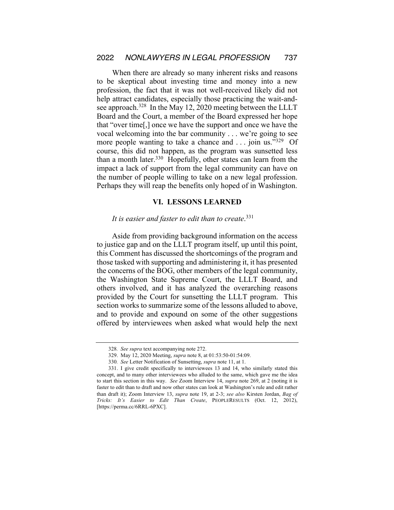When there are already so many inherent risks and reasons to be skeptical about investing time and money into a new profession, the fact that it was not well-received likely did not help attract candidates, especially those practicing the wait-andsee approach.<sup>328</sup> In the May 12, 2020 meeting between the LLLT Board and the Court, a member of the Board expressed her hope that "over time[,] once we have the support and once we have the vocal welcoming into the bar community . . . we're going to see more people wanting to take a chance and ... join us."<sup>329</sup> Of course, this did not happen, as the program was sunsetted less than a month later. $330$  Hopefully, other states can learn from the impact a lack of support from the legal community can have on the number of people willing to take on a new legal profession. Perhaps they will reap the benefits only hoped of in Washington.

# **VI. LESSONS LEARNED**

# *It is easier and faster to edit than to create*. 331

Aside from providing background information on the access to justice gap and on the LLLT program itself, up until this point, this Comment has discussed the shortcomings of the program and those tasked with supporting and administering it, it has presented the concerns of the BOG, other members of the legal community, the Washington State Supreme Court, the LLLT Board, and others involved, and it has analyzed the overarching reasons provided by the Court for sunsetting the LLLT program. This section works to summarize some of the lessons alluded to above, and to provide and expound on some of the other suggestions offered by interviewees when asked what would help the next

<sup>328</sup>*. See supra* text accompanying note 272.

<sup>329.</sup> May 12, 2020 Meeting, *supra* note 8, at 01:53:50-01:54:09.

<sup>330</sup>*. See* Letter Notification of Sunsetting, *supra* note 11, at 1.

<sup>331.</sup> I give credit specifically to interviewees 13 and 14, who similarly stated this concept, and to many other interviewees who alluded to the same, which gave me the idea to start this section in this way. *See* Zoom Interview 14, *supra* note 269, at 2 (noting it is faster to edit than to draft and now other states can look at Washington's rule and edit rather than draft it); Zoom Interview 13, *supra* note 19, at 2-3; *see also* Kirsten Jordan, *Bag of Tricks: It's Easier to Edit Than Create*, PEOPLERESULTS (Oct. 12, 2012), [https://perma.cc/6RRL-6PXC].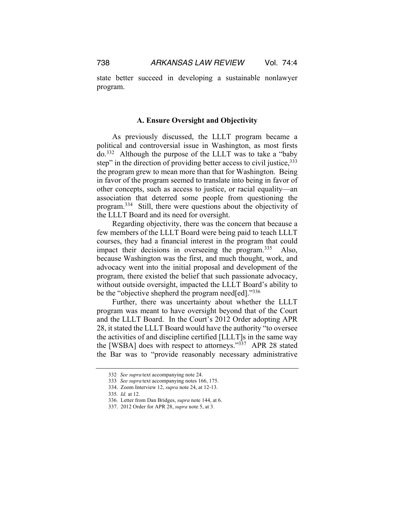state better succeed in developing a sustainable nonlawyer program.

# **A. Ensure Oversight and Objectivity**

As previously discussed, the LLLT program became a political and controversial issue in Washington, as most firsts do.332 Although the purpose of the LLLT was to take a "baby step" in the direction of providing better access to civil justice, 333 the program grew to mean more than that for Washington. Being in favor of the program seemed to translate into being in favor of other concepts, such as access to justice, or racial equality—an association that deterred some people from questioning the program.334 Still, there were questions about the objectivity of the LLLT Board and its need for oversight.

Regarding objectivity, there was the concern that because a few members of the LLLT Board were being paid to teach LLLT courses, they had a financial interest in the program that could impact their decisions in overseeing the program.<sup>335</sup> Also, because Washington was the first, and much thought, work, and advocacy went into the initial proposal and development of the program, there existed the belief that such passionate advocacy, without outside oversight, impacted the LLLT Board's ability to be the "objective shepherd the program need[ed]."<sup>336</sup>

Further, there was uncertainty about whether the LLLT program was meant to have oversight beyond that of the Court and the LLLT Board. In the Court's 2012 Order adopting APR 28, it stated the LLLT Board would have the authority "to oversee the activities of and discipline certified [LLLT]s in the same way the [WSBA] does with respect to attorneys."337 APR 28 stated the Bar was to "provide reasonably necessary administrative

<sup>332</sup>*. See supra* text accompanying note 24.

<sup>333</sup>*. See supra* text accompanying notes 166, 175.

<sup>334.</sup> Zoom Interview 12, *supra* note 24, at 12-13.

<sup>335</sup>*. Id.* at 12.

<sup>336.</sup> Letter from Dan Bridges, *supra* note 144, at 6.

<sup>337.</sup> 2012 Order for APR 28, *supra* note 5, at 3.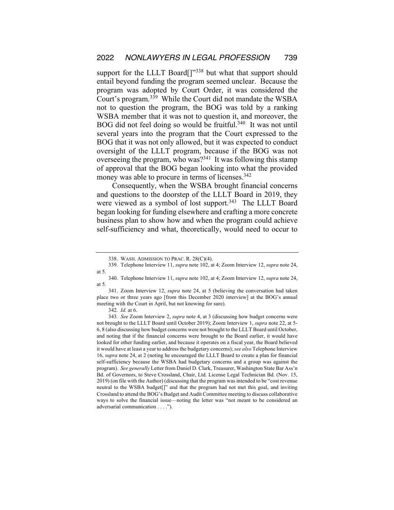support for the LLLT Board<sup>[]"338</sup> but what that support should entail beyond funding the program seemed unclear. Because the program was adopted by Court Order, it was considered the Court's program.339 While the Court did not mandate the WSBA not to question the program, the BOG was told by a ranking WSBA member that it was not to question it, and moreover, the BOG did not feel doing so would be fruitful.<sup>340</sup> It was not until several years into the program that the Court expressed to the BOG that it was not only allowed, but it was expected to conduct oversight of the LLLT program, because if the BOG was not overseeing the program, who was? $341$  It was following this stamp of approval that the BOG began looking into what the provided money was able to procure in terms of licenses.<sup>342</sup>

Consequently, when the WSBA brought financial concerns and questions to the doorstep of the LLLT Board in 2019, they were viewed as a symbol of lost support.<sup>343</sup> The LLLT Board began looking for funding elsewhere and crafting a more concrete business plan to show how and when the program could achieve self-sufficiency and what, theoretically, would need to occur to

341. Zoom Interview 12, *supra* note 24, at 5 (believing the conversation had taken place two or three years ago [from this December 2020 interview] at the BOG's annual meeting with the Court in April, but not knowing for sure).

343*. See* Zoom Interview 2, *supra* note 4, at 3 (discussing how budget concerns were not brought to the LLLT Board until October 2019); Zoom Interview 1, *supra* note 22, at 5- 6, 8 (also discussing how budget concerns were not brought to the LLLT Board until October, and noting that if the financial concerns were brought to the Board earlier, it would have looked for other funding earlier, and because it operates on a fiscal year, the Board believed it would have at least a year to address the budgetary concerns); *see also* Telephone Interview 16, *supra* note 24, at 2 (noting he encouraged the LLLT Board to create a plan for financial self-sufficiency because the WSBA had budgetary concerns and a group was against the program). *See generally* Letter from Daniel D. Clark, Treasurer, Washington State Bar Ass'n Bd. of Governors, to Steve Crossland, Chair, Ltd. License Legal Technician Bd. (Nov. 15, 2019) (on file with the Author) (discussing that the program was intended to be "cost revenue neutral to the WSBA budget[]" and that the program had not met this goal, and inviting Crossland to attend the BOG's Budget and Audit Committee meeting to discuss collaborative ways to solve the financial issue—noting the letter was "not meant to be considered an adversarial communication . . . .").

<sup>338.</sup> WASH. ADMISSION TO PRAC. R. 28(C)(4).

<sup>339.</sup> Telephone Interview 11, *supra* note 102, at 4; Zoom Interview 12, *supra* note 24, at 5.

<sup>340.</sup> Telephone Interview 11, *supra* note 102, at 4; Zoom Interview 12, *supra* note 24, at 5.

<sup>342</sup>*. Id.* at 6.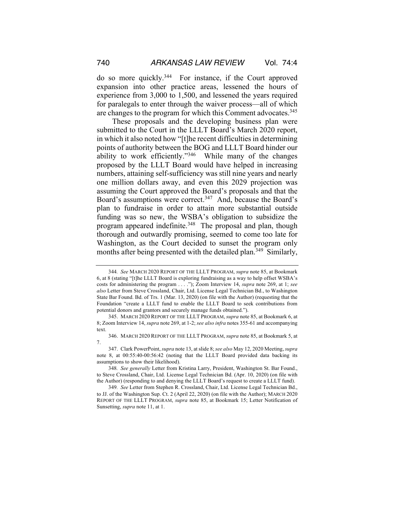do so more quickly.344 For instance, if the Court approved expansion into other practice areas, lessened the hours of experience from 3,000 to 1,500, and lessened the years required for paralegals to enter through the waiver process—all of which are changes to the program for which this Comment advocates.<sup>345</sup>

These proposals and the developing business plan were submitted to the Court in the LLLT Board's March 2020 report, in which it also noted how "[t]he recent difficulties in determining points of authority between the BOG and LLLT Board hinder our ability to work efficiently."346 While many of the changes proposed by the LLLT Board would have helped in increasing numbers, attaining self-sufficiency was still nine years and nearly one million dollars away, and even this 2029 projection was assuming the Court approved the Board's proposals and that the Board's assumptions were correct.<sup>347</sup> And, because the Board's plan to fundraise in order to attain more substantial outside funding was so new, the WSBA's obligation to subsidize the program appeared indefinite.<sup>348</sup> The proposal and plan, though thorough and outwardly promising, seemed to come too late for Washington, as the Court decided to sunset the program only months after being presented with the detailed plan.<sup>349</sup> Similarly,

<sup>344</sup>*. See* MARCH 2020 REPORT OF THE LLLT PROGRAM, *supra* note 85, at Bookmark 6, at 8 (stating "[t]he LLLT Board is exploring fundraising as a way to help offset WSBA's costs for administering the program . . . ."); Zoom Interview 14, *supra* note 269, at 1; *see also* Letter from Steve Crossland, Chair, Ltd. License Legal Technician Bd., to Washington State Bar Found. Bd. of Trs. 1 (Mar. 13, 2020) (on file with the Author) (requesting that the Foundation "create a LLLT fund to enable the LLLT Board to seek contributions from potential donors and grantors and securely manage funds obtained.").

<sup>345.</sup> MARCH 2020 REPORT OF THE LLLT PROGRAM, *supra* note 85, at Bookmark 6, at 8; Zoom Interview 14, *supra* note 269, at 1-2; *see also infra* notes 355-61 and accompanying text.

<sup>346.</sup> MARCH 2020 REPORT OF THE LLLT PROGRAM, *supra* note 85, at Bookmark 5, at 7.

<sup>347.</sup> Clark PowerPoint, *supra* note 13, at slide 8; *see also* May 12, 2020 Meeting, *supra* note 8, at 00:55:40-00:56:42 (noting that the LLLT Board provided data backing its assumptions to show their likelihood).

<sup>348</sup>*. See generally* Letter from Kristina Larry, President, Washington St. Bar Found., to Steve Crossland, Chair, Ltd. License Legal Technician Bd. (Apr. 10, 2020) (on file with the Author) (responding to and denying the LLLT Board's request to create a LLLT fund).

<sup>349</sup>*. See* Letter from Stephen R. Crossland, Chair, Ltd. License Legal Technician Bd., to JJ. of the Washington Sup. Ct. 2 (April 22, 2020) (on file with the Author); MARCH 2020 REPORT OF THE LLLT PROGRAM, *supra* note 85, at Bookmark 15; Letter Notification of Sunsetting, *supra* note 11, at 1.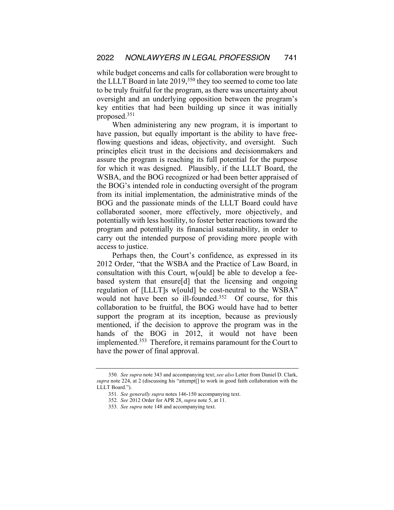while budget concerns and calls for collaboration were brought to the LLLT Board in late 2019,<sup>350</sup> they too seemed to come too late to be truly fruitful for the program, as there was uncertainty about oversight and an underlying opposition between the program's key entities that had been building up since it was initially proposed.351

When administering any new program, it is important to have passion, but equally important is the ability to have freeflowing questions and ideas, objectivity, and oversight. Such principles elicit trust in the decisions and decisionmakers and assure the program is reaching its full potential for the purpose for which it was designed. Plausibly, if the LLLT Board, the WSBA, and the BOG recognized or had been better appraised of the BOG's intended role in conducting oversight of the program from its initial implementation, the administrative minds of the BOG and the passionate minds of the LLLT Board could have collaborated sooner, more effectively, more objectively, and potentially with less hostility, to foster better reactions toward the program and potentially its financial sustainability, in order to carry out the intended purpose of providing more people with access to justice.

Perhaps then, the Court's confidence, as expressed in its 2012 Order, "that the WSBA and the Practice of Law Board, in consultation with this Court, w[ould] be able to develop a feebased system that ensure[d] that the licensing and ongoing regulation of [LLLT]s w[ould] be cost-neutral to the WSBA" would not have been so ill-founded.<sup>352</sup> Of course, for this collaboration to be fruitful, the BOG would have had to better support the program at its inception, because as previously mentioned, if the decision to approve the program was in the hands of the BOG in 2012, it would not have been implemented.353 Therefore, it remains paramount for the Court to have the power of final approval.

<sup>350</sup>*. See supra* note 343 and accompanying text; *see also* Letter from Daniel D. Clark, *supra* note 224, at 2 (discussing his "attempt[] to work in good faith collaboration with the LLLT Board.").

<sup>351</sup>*. See generally supra* notes 146-150 accompanying text.

<sup>352</sup>*. See* 2012 Order for APR 28, *supra* note 5, at 11.

<sup>353</sup>*. See supra* note 148 and accompanying text.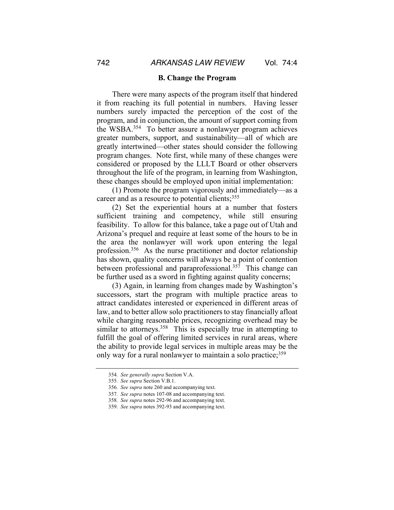#### **B. Change the Program**

There were many aspects of the program itself that hindered it from reaching its full potential in numbers. Having lesser numbers surely impacted the perception of the cost of the program, and in conjunction, the amount of support coming from the WSBA.354 To better assure a nonlawyer program achieves greater numbers, support, and sustainability—all of which are greatly intertwined—other states should consider the following program changes. Note first, while many of these changes were considered or proposed by the LLLT Board or other observers throughout the life of the program, in learning from Washington, these changes should be employed upon initial implementation:

(1) Promote the program vigorously and immediately—as a career and as a resource to potential clients;  $355$ 

(2) Set the experiential hours at a number that fosters sufficient training and competency, while still ensuring feasibility. To allow for this balance, take a page out of Utah and Arizona's prequel and require at least some of the hours to be in the area the nonlawyer will work upon entering the legal profession.356 As the nurse practitioner and doctor relationship has shown, quality concerns will always be a point of contention between professional and paraprofessional.<sup>357</sup> This change can be further used as a sword in fighting against quality concerns;

(3) Again, in learning from changes made by Washington's successors, start the program with multiple practice areas to attract candidates interested or experienced in different areas of law, and to better allow solo practitioners to stay financially afloat while charging reasonable prices, recognizing overhead may be similar to attorneys.<sup>358</sup> This is especially true in attempting to fulfill the goal of offering limited services in rural areas, where the ability to provide legal services in multiple areas may be the only way for a rural nonlawyer to maintain a solo practice;<sup>359</sup>

<sup>354</sup>*. See generally supra* Section V.A.

<sup>355</sup>*. See supra* Section V.B.1.

<sup>356</sup>*. See supra* note 260 and accompanying text.

<sup>357</sup>*. See supra* notes 107-08 and accompanying text.

<sup>358</sup>*. See supra* notes 292-96 and accompanying text.

<sup>359</sup>*. See supra* notes 392-93 and accompanying text.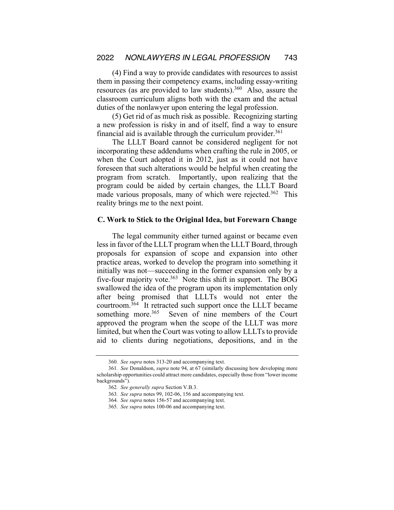(4) Find a way to provide candidates with resources to assist them in passing their competency exams, including essay-writing resources (as are provided to law students).<sup>360</sup> Also, assure the classroom curriculum aligns both with the exam and the actual duties of the nonlawyer upon entering the legal profession.

(5) Get rid of as much risk as possible. Recognizing starting a new profession is risky in and of itself, find a way to ensure financial aid is available through the curriculum provider. $361$ 

The LLLT Board cannot be considered negligent for not incorporating these addendums when crafting the rule in 2005, or when the Court adopted it in 2012, just as it could not have foreseen that such alterations would be helpful when creating the program from scratch. Importantly, upon realizing that the program could be aided by certain changes, the LLLT Board made various proposals, many of which were rejected.<sup>362</sup> This reality brings me to the next point.

#### **C. Work to Stick to the Original Idea, but Forewarn Change**

The legal community either turned against or became even less in favor of the LLLT program when the LLLT Board, through proposals for expansion of scope and expansion into other practice areas, worked to develop the program into something it initially was not—succeeding in the former expansion only by a five-four majority vote.<sup>363</sup> Note this shift in support. The BOG swallowed the idea of the program upon its implementation only after being promised that LLLTs would not enter the courtroom. $364$  It retracted such support once the LLLT became something more.<sup>365</sup> Seven of nine members of the Court approved the program when the scope of the LLLT was more limited, but when the Court was voting to allow LLLTs to provide aid to clients during negotiations, depositions, and in the

<sup>360</sup>*. See supra* notes 313-20 and accompanying text.

<sup>361</sup>*. See* Donaldson, *supra* note 94, at 67 (similarly discussing how developing more scholarship opportunities could attract more candidates, especially those from "lower income backgrounds").

<sup>362</sup>*. See generally supra* Section V.B.3.

<sup>363</sup>*. See supra* notes 99, 102-06, 156 and accompanying text.

<sup>364</sup>*. See supra* notes 156-57 and accompanying text.

<sup>365</sup>*. See supra* notes 100-06 and accompanying text.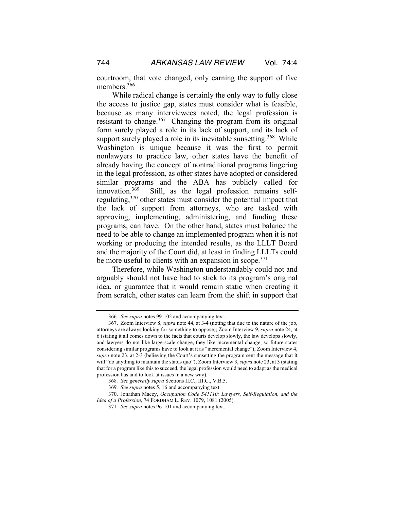courtroom, that vote changed, only earning the support of five members.<sup>366</sup>

While radical change is certainly the only way to fully close the access to justice gap, states must consider what is feasible, because as many interviewees noted, the legal profession is resistant to change.<sup>367</sup> Changing the program from its original form surely played a role in its lack of support, and its lack of support surely played a role in its inevitable sunsetting.<sup>368</sup> While Washington is unique because it was the first to permit nonlawyers to practice law, other states have the benefit of already having the concept of nontraditional programs lingering in the legal profession, as other states have adopted or considered similar programs and the ABA has publicly called for innovation.369 Still, as the legal profession remains selfregulating,370 other states must consider the potential impact that the lack of support from attorneys, who are tasked with approving, implementing, administering, and funding these programs, can have. On the other hand, states must balance the need to be able to change an implemented program when it is not working or producing the intended results, as the LLLT Board and the majority of the Court did, at least in finding LLLTs could be more useful to clients with an expansion in scope.<sup>371</sup>

Therefore, while Washington understandably could not and arguably should not have had to stick to its program's original idea, or guarantee that it would remain static when creating it from scratch, other states can learn from the shift in support that

<sup>366</sup>*. See supra* notes 99-102 and accompanying text.

<sup>367.</sup> Zoom Interview 8, *supra* note 44, at 3-4 (noting that due to the nature of the job, attorneys are always looking for something to oppose); Zoom Interview 9, *supra* note 24, at 6 (stating it all comes down to the facts that courts develop slowly, the law develops slowly, and lawyers do not like large-scale change, they like incremental change, so future states considering similar programs have to look at it as "incremental change"); Zoom Interview 4, *supra* note 23, at 2-3 (believing the Court's sunsetting the program sent the message that it will "do anything to maintain the status quo"); Zoom Interview 3, *supra* note 23, at 3 (stating that for a program like this to succeed, the legal profession would need to adapt as the medical profession has and to look at issues in a new way).

<sup>368</sup>*. See generally supra* Sections II.C., III.C., V.B.5.

<sup>369</sup>*. See supra* notes 5, 16 and accompanying text.

<sup>370.</sup> Jonathan Macey, *Occupation Code 541110: Lawyers, Self-Regulation, and the Idea of a Profession*, 74 FORDHAM L. REV. 1079, 1081 (2005).

<sup>371</sup>*. See supra* notes 96-101 and accompanying text.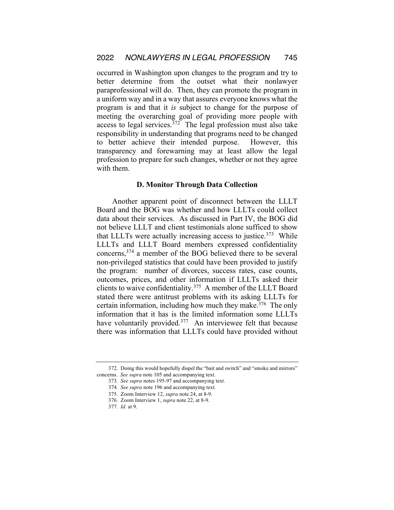occurred in Washington upon changes to the program and try to better determine from the outset what their nonlawyer paraprofessional will do. Then, they can promote the program in a uniform way and in a way that assures everyone knows what the program is and that it *is* subject to change for the purpose of meeting the overarching goal of providing more people with access to legal services.<sup>372</sup> The legal profession must also take responsibility in understanding that programs need to be changed to better achieve their intended purpose. However, this transparency and forewarning may at least allow the legal profession to prepare for such changes, whether or not they agree with them.

# **D. Monitor Through Data Collection**

Another apparent point of disconnect between the LLLT Board and the BOG was whether and how LLLTs could collect data about their services. As discussed in Part IV, the BOG did not believe LLLT and client testimonials alone sufficed to show that LLLTs were actually increasing access to justice.<sup>373</sup> While LLLTs and LLLT Board members expressed confidentiality concerns,374 a member of the BOG believed there to be several non-privileged statistics that could have been provided to justify the program: number of divorces, success rates, case counts, outcomes, prices, and other information if LLLTs asked their clients to waive confidentiality.375 A member of the LLLT Board stated there were antitrust problems with its asking LLLTs for certain information, including how much they make.376 The only information that it has is the limited information some LLLTs have voluntarily provided.<sup>377</sup> An interviewee felt that because there was information that LLLTs could have provided without

<sup>372.</sup> Doing this would hopefully dispel the "bait and switch" and "smoke and mirrors" concerns. *See supra* note 105 and accompanying text.

<sup>373</sup>*. See supra* notes 195-97 and accompanying text.

<sup>374</sup>*. See supra* note 196 and accompanying text.

<sup>375.</sup> Zoom Interview 12, *supra* note 24, at 8-9.

<sup>376.</sup> Zoom Interview 1, *supra* note 22, at 8-9.

<sup>377</sup>*. Id.* at 9.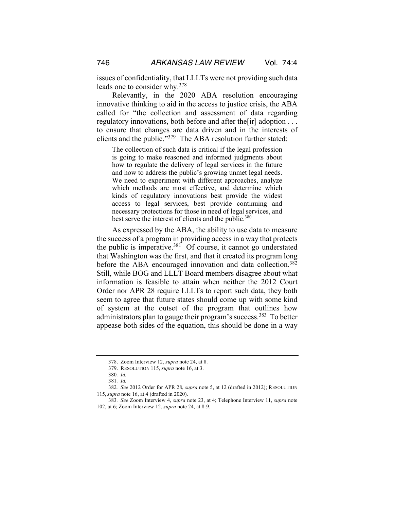issues of confidentiality, that LLLTs were not providing such data leads one to consider why.378

Relevantly, in the 2020 ABA resolution encouraging innovative thinking to aid in the access to justice crisis, the ABA called for "the collection and assessment of data regarding regulatory innovations, both before and after the[ir] adoption . . . to ensure that changes are data driven and in the interests of clients and the public."379 The ABA resolution further stated:

The collection of such data is critical if the legal profession is going to make reasoned and informed judgments about how to regulate the delivery of legal services in the future and how to address the public's growing unmet legal needs. We need to experiment with different approaches, analyze which methods are most effective, and determine which kinds of regulatory innovations best provide the widest access to legal services, best provide continuing and necessary protections for those in need of legal services, and best serve the interest of clients and the public.<sup>380</sup>

As expressed by the ABA, the ability to use data to measure the success of a program in providing access in a way that protects the public is imperative.<sup>381</sup> Of course, it cannot go understated that Washington was the first, and that it created its program long before the ABA encouraged innovation and data collection.<sup>382</sup> Still, while BOG and LLLT Board members disagree about what information is feasible to attain when neither the 2012 Court Order nor APR 28 require LLLTs to report such data, they both seem to agree that future states should come up with some kind of system at the outset of the program that outlines how administrators plan to gauge their program's success.383 To better appease both sides of the equation, this should be done in a way

<sup>378.</sup> Zoom Interview 12, *supra* note 24, at 8.

<sup>379.</sup> RESOLUTION 115, *supra* note 16, at 3.

<sup>380</sup>*. Id.*

<sup>381</sup>*. Id.*

<sup>382</sup>*. See* 2012 Order for APR 28, *supra* note 5, at 12 (drafted in 2012); RESOLUTION 115, *supra* note 16, at 4 (drafted in 2020).

<sup>383</sup>*. See* Zoom Interview 4, *supra* note 23, at 4; Telephone Interview 11, *supra* note 102, at 6; Zoom Interview 12, *supra* note 24, at 8-9.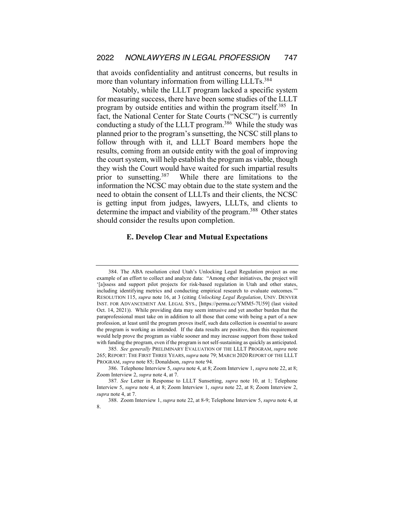that avoids confidentiality and antitrust concerns, but results in more than voluntary information from willing LLLTs.<sup>384</sup>

Notably, while the LLLT program lacked a specific system for measuring success, there have been some studies of the LLLT program by outside entities and within the program itself.385 In fact, the National Center for State Courts ("NCSC") is currently conducting a study of the LLLT program.386 While the study was planned prior to the program's sunsetting, the NCSC still plans to follow through with it, and LLLT Board members hope the results, coming from an outside entity with the goal of improving the court system, will help establish the program as viable, though they wish the Court would have waited for such impartial results prior to sunsetting.387 While there are limitations to the information the NCSC may obtain due to the state system and the need to obtain the consent of LLLTs and their clients, the NCSC is getting input from judges, lawyers, LLLTs, and clients to determine the impact and viability of the program.<sup>388</sup> Other states should consider the results upon completion.

# **E. Develop Clear and Mutual Expectations**

<sup>384.</sup> The ABA resolution cited Utah's Unlocking Legal Regulation project as one example of an effort to collect and analyze data: "Among other initiatives, the project will '[a]ssess and support pilot projects for risk-based regulation in Utah and other states, including identifying metrics and conducting empirical research to evaluate outcomes.'" RESOLUTION 115, *supra* note 16, at 3 (citing *Unlocking Legal Regulation*, UNIV. DENVER INST. FOR ADVANCEMENT AM. LEGAL SYS., [https://perma.cc/YMM5-7U59] (last visited Oct. 14, 2021)). While providing data may seem intrusive and yet another burden that the paraprofessional must take on in addition to all those that come with being a part of a new profession, at least until the program proves itself, such data collection is essential to assure the program is working as intended. If the data results are positive, then this requirement would help prove the program as viable sooner and may increase support from those tasked with funding the program, even if the program is not self-sustaining as quickly as anticipated.

<sup>385</sup>*. See generally* PRELIMINARY EVALUATION OF THE LLLT PROGRAM, *supra* note 265; REPORT: THE FIRST THREE YEARS,*supra* note 79; MARCH 2020 REPORT OF THE LLLT PROGRAM, *supra* note 85; Donaldson, *supra* note 94.

<sup>386.</sup> Telephone Interview 5, *supra* note 4, at 8; Zoom Interview 1, *supra* note 22, at 8; Zoom Interview 2, *supra* note 4, at 7.

<sup>387</sup>*. See* Letter in Response to LLLT Sunsetting, *supra* note 10, at 1; Telephone Interview 5, *supra* note 4, at 8; Zoom Interview 1, *supra* note 22, at 8; Zoom Interview 2, *supra* note 4, at 7.

<sup>388.</sup> Zoom Interview 1, *supra* note 22, at 8-9; Telephone Interview 5, *supra* note 4, at 8.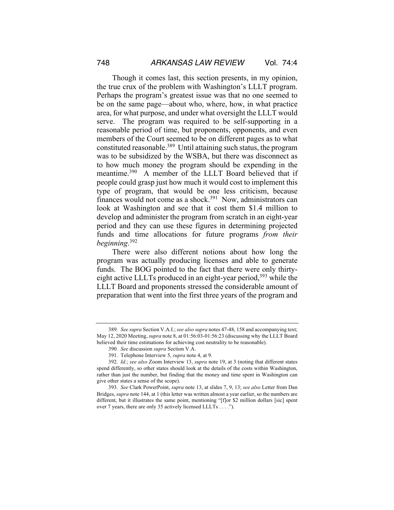Though it comes last, this section presents, in my opinion, the true crux of the problem with Washington's LLLT program. Perhaps the program's greatest issue was that no one seemed to be on the same page—about who, where, how, in what practice area, for what purpose, and under what oversight the LLLT would serve. The program was required to be self-supporting in a reasonable period of time, but proponents, opponents, and even members of the Court seemed to be on different pages as to what constituted reasonable.389 Until attaining such status, the program was to be subsidized by the WSBA, but there was disconnect as to how much money the program should be expending in the meantime.<sup>390</sup> A member of the LLLT Board believed that if people could grasp just how much it would cost to implement this type of program, that would be one less criticism, because finances would not come as a shock.<sup>391</sup> Now, administrators can look at Washington and see that it cost them \$1.4 million to develop and administer the program from scratch in an eight-year period and they can use these figures in determining projected funds and time allocations for future programs *from their beginning*. 392

There were also different notions about how long the program was actually producing licenses and able to generate funds. The BOG pointed to the fact that there were only thirtyeight active LLLTs produced in an eight-year period,<sup>393</sup> while the LLLT Board and proponents stressed the considerable amount of preparation that went into the first three years of the program and

<sup>389</sup>*. See supra* Section V.A.I.; *see also supra* notes 47-48, 158 and accompanying text; May 12, 2020 Meeting, *supra* note 8, at 01:56:03-01:56:23 (discussing why the LLLT Board believed their time estimations for achieving cost neutrality to be reasonable).

<sup>390</sup>*. See* discussion *supra* Section V.A.

<sup>391.</sup> Telephone Interview 5, *supra* note 4, at 9.

<sup>392</sup>*. Id.*; *see also* Zoom Interview 13, *supra* note 19, at 3 (noting that different states spend differently, so other states should look at the details of the costs within Washington, rather than just the number, but finding that the money and time spent in Washington can give other states a sense of the scope).

<sup>393</sup>*. See* Clark PowerPoint, *supra* note 13, at slides 7, 9, 13; *see also* Letter from Dan Bridges, *supra* note 144, at 1 (this letter was written almost a year earlier, so the numbers are different, but it illustrates the same point, mentioning "[f]or \$2 million dollars [sic] spent over 7 years, there are only 35 actively licensed LLLTs . . . .").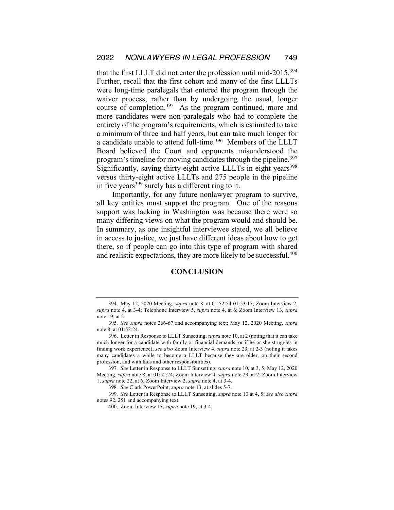that the first LLLT did not enter the profession until mid-2015.394 Further, recall that the first cohort and many of the first LLLTs were long-time paralegals that entered the program through the waiver process, rather than by undergoing the usual, longer course of completion.<sup>395</sup> As the program continued, more and more candidates were non-paralegals who had to complete the entirety of the program's requirements, which is estimated to take a minimum of three and half years, but can take much longer for a candidate unable to attend full-time.<sup>396</sup> Members of the LLLT Board believed the Court and opponents misunderstood the program's timeline for moving candidates through the pipeline.<sup>397</sup> Significantly, saying thirty-eight active LLLTs in eight years<sup>398</sup> versus thirty-eight active LLLTs and 275 people in the pipeline in five years  $399$  surely has a different ring to it.

Importantly, for any future nonlawyer program to survive, all key entities must support the program. One of the reasons support was lacking in Washington was because there were so many differing views on what the program would and should be. In summary, as one insightful interviewee stated, we all believe in access to justice, we just have different ideas about how to get there, so if people can go into this type of program with shared and realistic expectations, they are more likely to be successful.<sup>400</sup>

#### **CONCLUSION**

<sup>394.</sup> May 12, 2020 Meeting, *supra* note 8, at 01:52:54-01:53:17; Zoom Interview 2, *supra* note 4, at 3-4; Telephone Interview 5, *supra* note 4, at 6; Zoom Interview 13, *supra* note 19, at 2.

<sup>395</sup>*. See supra* notes 266-67 and accompanying text; May 12, 2020 Meeting, *supra* note 8, at 01:52:24.

<sup>396.</sup> Letter in Response to LLLT Sunsetting, *supra* note 10, at 2 (noting that it can take much longer for a candidate with family or financial demands, or if he or she struggles in finding work experience); *see also* Zoom Interview 4, *supra* note 23, at 2-3 (noting it takes many candidates a while to become a LLLT because they are older, on their second profession, and with kids and other responsibilities).

<sup>397</sup>*. See* Letter in Response to LLLT Sunsetting, *supra* note 10, at 3, 5; May 12, 2020 Meeting, *supra* note 8, at 01:52:24; Zoom Interview 4, *supra* note 23, at 2; Zoom Interview 1, *supra* note 22, at 6; Zoom Interview 2, *supra* note 4, at 3-4.

<sup>398</sup>*. See* Clark PowerPoint, *supra* note 13, at slides 5-7.

<sup>399</sup>*. See* Letter in Response to LLLT Sunsetting, *supra* note 10 at 4, 5; *see also supra* notes 92, 251 and accompanying text.

<sup>400.</sup> Zoom Interview 13, *supra* note 19, at 3-4.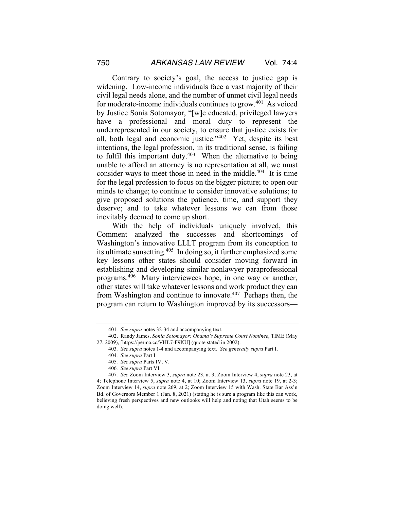Contrary to society's goal, the access to justice gap is widening. Low-income individuals face a vast majority of their civil legal needs alone, and the number of unmet civil legal needs for moderate-income individuals continues to grow.<sup>401</sup> As voiced by Justice Sonia Sotomayor, "[w]e educated, privileged lawyers have a professional and moral duty to represent the underrepresented in our society, to ensure that justice exists for all, both legal and economic justice."402 Yet, despite its best intentions, the legal profession, in its traditional sense, is failing to fulfil this important duty. $403$  When the alternative to being unable to afford an attorney is no representation at all, we must consider ways to meet those in need in the middle.<sup>404</sup> It is time for the legal profession to focus on the bigger picture; to open our minds to change; to continue to consider innovative solutions; to give proposed solutions the patience, time, and support they deserve; and to take whatever lessons we can from those inevitably deemed to come up short.

With the help of individuals uniquely involved, this Comment analyzed the successes and shortcomings of Washington's innovative LLLT program from its conception to its ultimate sunsetting.405 In doing so, it further emphasized some key lessons other states should consider moving forward in establishing and developing similar nonlawyer paraprofessional programs.406 Many interviewees hope, in one way or another, other states will take whatever lessons and work product they can from Washington and continue to innovate. $407$  Perhaps then, the program can return to Washington improved by its successors—

- 405*. See supra* Parts IV, V.
- 406*. See supra* Part VI.

<sup>401</sup>*. See supra* notes 32-34 and accompanying text.

<sup>402.</sup> Randy James, *Sonia Sotomayor: Obama's Supreme Court Nominee*, TIME (May 27, 2009), [https://perma.cc/VHL7-F9KU] (quote stated in 2002).

<sup>403</sup>*. See supra* notes 1-4 and accompanying text. *See generally supra* Part I.

<sup>404</sup>*. See supra* Part I.

<sup>407</sup>*. See* Zoom Interview 3, *supra* note 23, at 3; Zoom Interview 4, *supra* note 23, at 4; Telephone Interview 5, *supra* note 4, at 10; Zoom Interview 13, *supra* note 19, at 2-3; Zoom Interview 14, *supra* note 269, at 2; Zoom Interview 15 with Wash. State Bar Ass'n Bd. of Governors Member 1 (Jan. 8, 2021) (stating he is sure a program like this can work, believing fresh perspectives and new outlooks will help and noting that Utah seems to be doing well).